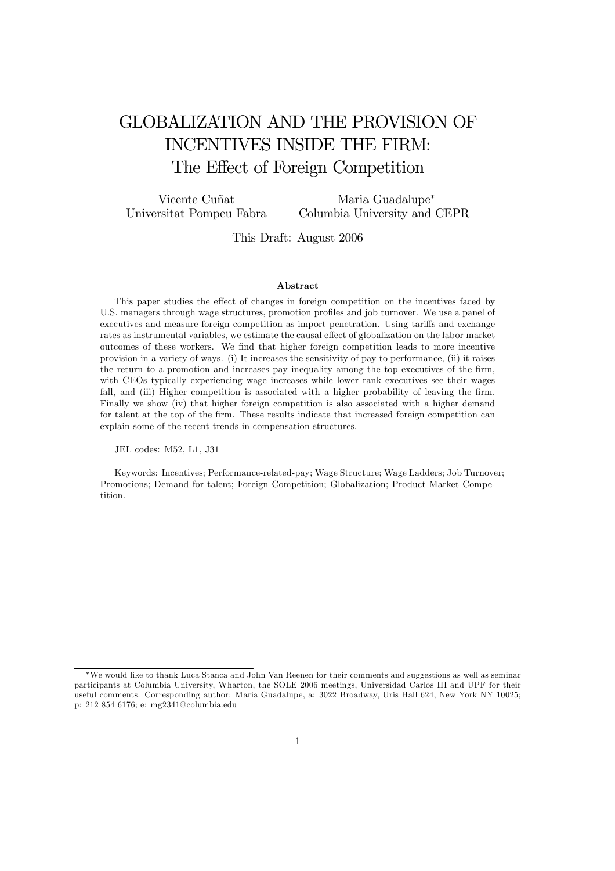# GLOBALIZATION AND THE PROVISION OF INCENTIVES INSIDE THE FIRM: The Effect of Foreign Competition

Vicente Cuñat Universitat Pompeu Fabra Maria Guadalupe<sup>∗</sup> Columbia University and CEPR

This Draft: August 2006

#### Abstract

This paper studies the effect of changes in foreign competition on the incentives faced by U.S. managers through wage structures, promotion profiles and job turnover. We use a panel of executives and measure foreign competition as import penetration. Using tariffs and exchange rates as instrumental variables, we estimate the causal effect of globalization on the labor market outcomes of these workers. We find that higher foreign competition leads to more incentive provision in a variety of ways. (i) It increases the sensitivity of pay to performance, (ii) it raises the return to a promotion and increases pay inequality among the top executives of the firm, with CEOs typically experiencing wage increases while lower rank executives see their wages fall, and (iii) Higher competition is associated with a higher probability of leaving the firm. Finally we show (iv) that higher foreign competition is also associated with a higher demand for talent at the top of the firm. These results indicate that increased foreign competition can explain some of the recent trends in compensation structures.

JEL codes: M52, L1, J31

Keywords: Incentives; Performance-related-pay; Wage Structure; Wage Ladders; Job Turnover; Promotions; Demand for talent; Foreign Competition; Globalization; Product Market Competition.

<sup>∗</sup>We would like to thank Luca Stanca and John Van Reenen for their comments and suggestions as well as seminar participants at Columbia University, Wharton, the SOLE 2006 meetings, Universidad Carlos III and UPF for their useful comments. Corresponding author: Maria Guadalupe, a: 3022 Broadway, Uris Hall 624, New York NY 10025; p: 212 854 6176; e: mg2341@columbia.edu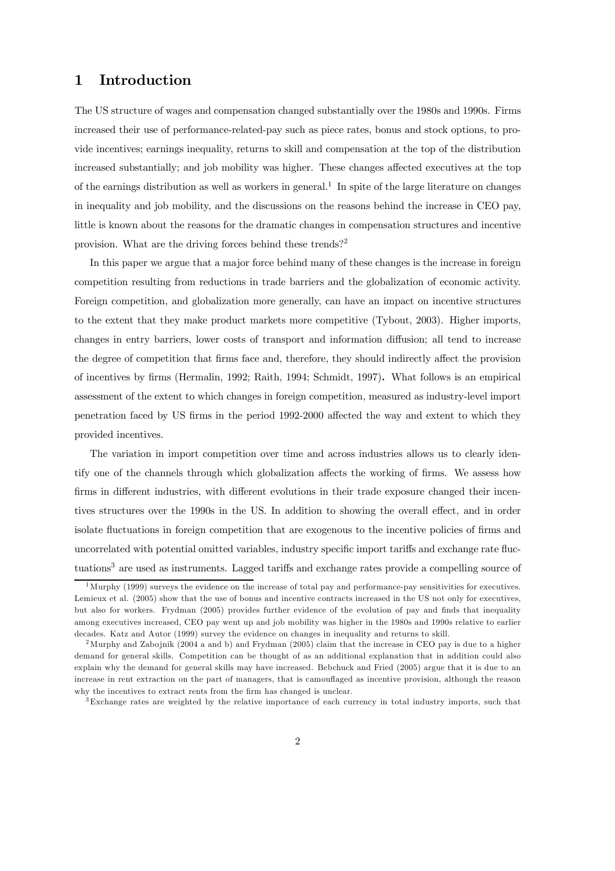### 1 Introduction

The US structure of wages and compensation changed substantially over the 1980s and 1990s. Firms increased their use of performance-related-pay such as piece rates, bonus and stock options, to provide incentives; earnings inequality, returns to skill and compensation at the top of the distribution increased substantially; and job mobility was higher. These changes affected executives at the top of the earnings distribution as well as workers in general.<sup>1</sup> In spite of the large literature on changes in inequality and job mobility, and the discussions on the reasons behind the increase in CEO pay, little is known about the reasons for the dramatic changes in compensation structures and incentive provision. What are the driving forces behind these trends?<sup>2</sup>

In this paper we argue that a major force behind many of these changes is the increase in foreign competition resulting from reductions in trade barriers and the globalization of economic activity. Foreign competition, and globalization more generally, can have an impact on incentive structures to the extent that they make product markets more competitive (Tybout, 2003). Higher imports, changes in entry barriers, lower costs of transport and information diffusion; all tend to increase the degree of competition that firms face and, therefore, they should indirectly affect the provision of incentives by firms (Hermalin, 1992; Raith, 1994; Schmidt, 1997). What follows is an empirical assessment of the extent to which changes in foreign competition, measured as industry-level import penetration faced by US firms in the period 1992-2000 affected the way and extent to which they provided incentives.

The variation in import competition over time and across industries allows us to clearly identify one of the channels through which globalization affects the working of firms. We assess how firms in different industries, with different evolutions in their trade exposure changed their incentives structures over the 1990s in the US. In addition to showing the overall effect, and in order isolate fluctuations in foreign competition that are exogenous to the incentive policies of firms and uncorrelated with potential omitted variables, industry specific import tariffs and exchange rate fluctuations<sup>3</sup> are used as instruments. Lagged tariffs and exchange rates provide a compelling source of

 $1<sup>1</sup>$ Murphy (1999) surveys the evidence on the increase of total pay and performance-pay sensitivities for executives. Lemieux et al. (2005) show that the use of bonus and incentive contracts increased in the US not only for executives, but also for workers. Frydman (2005) provides further evidence of the evolution of pay and finds that inequality among executives increased, CEO pay went up and job mobility was higher in the 1980s and 1990s relative to earlier decades. Katz and Autor (1999) survey the evidence on changes in inequality and returns to skill.

<sup>&</sup>lt;sup>2</sup>Murphy and Zabojnik (2004 a and b) and Frydman (2005) claim that the increase in CEO pay is due to a higher demand for general skills. Competition can be thought of as an additional explanation that in addition could also explain why the demand for general skills may have increased. Bebchuck and Fried (2005) argue that it is due to an increase in rent extraction on the part of managers, that is camouflaged as incentive provision, although the reason why the incentives to extract rents from the firm has changed is unclear.

 $\frac{3}{3}$ Exchange rates are weighted by the relative importance of each currency in total industry imports, such that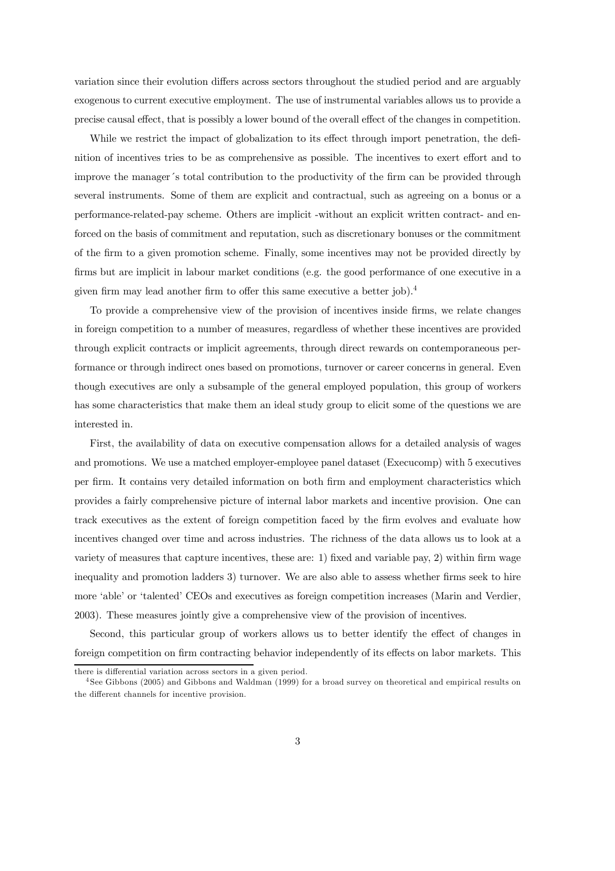variation since their evolution differs across sectors throughout the studied period and are arguably exogenous to current executive employment. The use of instrumental variables allows us to provide a precise causal effect, that is possibly a lower bound of the overall effect of the changes in competition.

While we restrict the impact of globalization to its effect through import penetration, the definition of incentives tries to be as comprehensive as possible. The incentives to exert effort and to improve the manager´s total contribution to the productivity of the firm can be provided through several instruments. Some of them are explicit and contractual, such as agreeing on a bonus or a performance-related-pay scheme. Others are implicit -without an explicit written contract- and enforced on the basis of commitment and reputation, such as discretionary bonuses or the commitment of the firm to a given promotion scheme. Finally, some incentives may not be provided directly by firms but are implicit in labour market conditions (e.g. the good performance of one executive in a given firm may lead another firm to offer this same executive a better job).<sup>4</sup>

To provide a comprehensive view of the provision of incentives inside firms, we relate changes in foreign competition to a number of measures, regardless of whether these incentives are provided through explicit contracts or implicit agreements, through direct rewards on contemporaneous performance or through indirect ones based on promotions, turnover or career concerns in general. Even though executives are only a subsample of the general employed population, this group of workers has some characteristics that make them an ideal study group to elicit some of the questions we are interested in.

First, the availability of data on executive compensation allows for a detailed analysis of wages and promotions. We use a matched employer-employee panel dataset (Execucomp) with 5 executives per firm. It contains very detailed information on both firm and employment characteristics which provides a fairly comprehensive picture of internal labor markets and incentive provision. One can track executives as the extent of foreign competition faced by the firm evolves and evaluate how incentives changed over time and across industries. The richness of the data allows us to look at a variety of measures that capture incentives, these are: 1) fixed and variable pay, 2) within firm wage inequality and promotion ladders 3) turnover. We are also able to assess whether firms seek to hire more 'able' or 'talented' CEOs and executives as foreign competition increases (Marin and Verdier, 2003). These measures jointly give a comprehensive view of the provision of incentives.

Second, this particular group of workers allows us to better identify the effect of changes in foreign competition on firm contracting behavior independently of its effects on labor markets. This

there is differential variation across sectors in a given period.

<sup>4</sup> See Gibbons (2005) and Gibbons and Waldman (1999) for a broad survey on theoretical and empirical results on the different channels for incentive provision.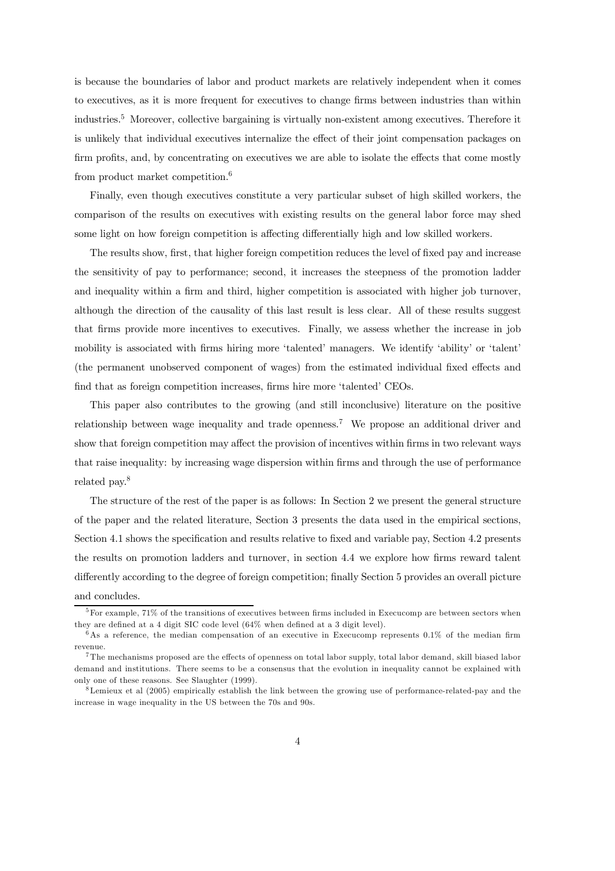is because the boundaries of labor and product markets are relatively independent when it comes to executives, as it is more frequent for executives to change firms between industries than within industries.<sup>5</sup> Moreover, collective bargaining is virtually non-existent among executives. Therefore it is unlikely that individual executives internalize the effect of their joint compensation packages on firm profits, and, by concentrating on executives we are able to isolate the effects that come mostly from product market competition.<sup>6</sup>

Finally, even though executives constitute a very particular subset of high skilled workers, the comparison of the results on executives with existing results on the general labor force may shed some light on how foreign competition is affecting differentially high and low skilled workers.

The results show, first, that higher foreign competition reduces the level of fixed pay and increase the sensitivity of pay to performance; second, it increases the steepness of the promotion ladder and inequality within a firm and third, higher competition is associated with higher job turnover, although the direction of the causality of this last result is less clear. All of these results suggest that firms provide more incentives to executives. Finally, we assess whether the increase in job mobility is associated with firms hiring more 'talented' managers. We identify 'ability' or 'talent' (the permanent unobserved component of wages) from the estimated individual fixed effects and find that as foreign competition increases, firms hire more 'talented' CEOs.

This paper also contributes to the growing (and still inconclusive) literature on the positive relationship between wage inequality and trade openness.<sup>7</sup> We propose an additional driver and show that foreign competition may affect the provision of incentives within firms in two relevant ways that raise inequality: by increasing wage dispersion within firms and through the use of performance related pay.<sup>8</sup>

The structure of the rest of the paper is as follows: In Section 2 we present the general structure of the paper and the related literature, Section 3 presents the data used in the empirical sections, Section 4.1 shows the specification and results relative to fixed and variable pay, Section 4.2 presents the results on promotion ladders and turnover, in section 4.4 we explore how firms reward talent differently according to the degree of foreign competition; finally Section 5 provides an overall picture and concludes.

 $5$ For example, 71% of the transitions of executives between firms included in Execucomp are between sectors when they are defined at a 4 digit SIC code level (64% when defined at a 3 digit level).

 $6$ As a reference, the median compensation of an executive in Execucomp represents 0.1% of the median firm revenue.

 $7$ The mechanisms proposed are the effects of openness on total labor supply, total labor demand, skill biased labor demand and institutions. There seems to be a consensus that the evolution in inequality cannot be explained with only one of these reasons. See Slaughter (1999).

 $8$ Lemieux et al (2005) empirically establish the link between the growing use of performance-related-pay and the increase in wage inequality in the US between the 70s and 90s.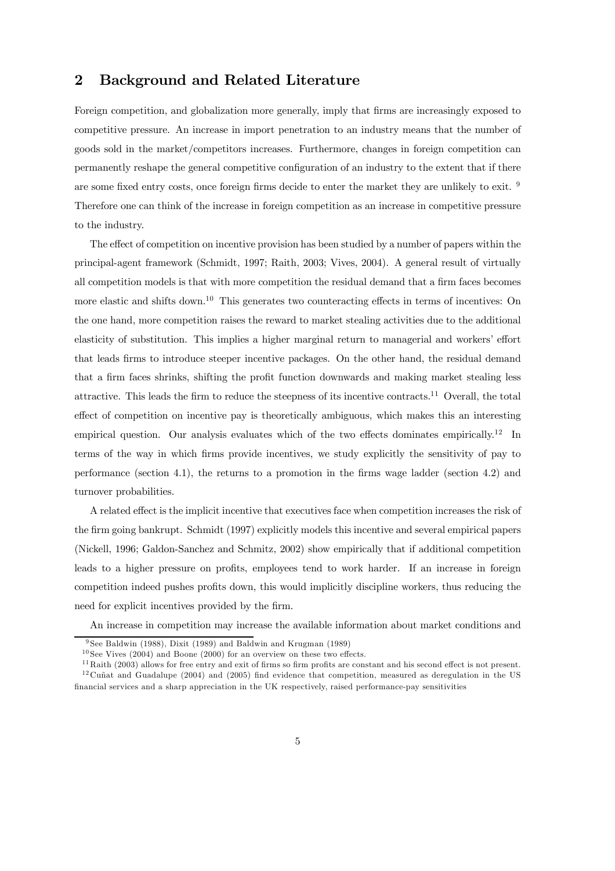### 2 Background and Related Literature

Foreign competition, and globalization more generally, imply that firms are increasingly exposed to competitive pressure. An increase in import penetration to an industry means that the number of goods sold in the market/competitors increases. Furthermore, changes in foreign competition can permanently reshape the general competitive configuration of an industry to the extent that if there are some fixed entry costs, once foreign firms decide to enter the market they are unlikely to exit. <sup>9</sup> Therefore one can think of the increase in foreign competition as an increase in competitive pressure to the industry.

The effect of competition on incentive provision has been studied by a number of papers within the principal-agent framework (Schmidt, 1997; Raith, 2003; Vives, 2004). A general result of virtually all competition models is that with more competition the residual demand that a firm faces becomes more elastic and shifts down.<sup>10</sup> This generates two counteracting effects in terms of incentives: On the one hand, more competition raises the reward to market stealing activities due to the additional elasticity of substitution. This implies a higher marginal return to managerial and workers' effort that leads firms to introduce steeper incentive packages. On the other hand, the residual demand that a firm faces shrinks, shifting the profit function downwards and making market stealing less attractive. This leads the firm to reduce the steepness of its incentive contracts.<sup>11</sup> Overall, the total effect of competition on incentive pay is theoretically ambiguous, which makes this an interesting empirical question. Our analysis evaluates which of the two effects dominates empirically.<sup>12</sup> In terms of the way in which firms provide incentives, we study explicitly the sensitivity of pay to performance (section 4.1), the returns to a promotion in the firms wage ladder (section 4.2) and turnover probabilities.

A related effect is the implicit incentive that executives face when competition increases the risk of the firm going bankrupt. Schmidt (1997) explicitly models this incentive and several empirical papers (Nickell, 1996; Galdon-Sanchez and Schmitz, 2002) show empirically that if additional competition leads to a higher pressure on profits, employees tend to work harder. If an increase in foreign competition indeed pushes profits down, this would implicitly discipline workers, thus reducing the need for explicit incentives provided by the firm.

An increase in competition may increase the available information about market conditions and

<sup>9</sup> See Baldwin (1988), Dixit (1989) and Baldwin and Krugman (1989)

 $10$  See Vives (2004) and Boone (2000) for an overview on these two effects.

 $11$  Raith (2003) allows for free entry and exit of firms so firm profits are constant and his second effect is not present.  $12$  Cuñat and Guadalupe (2004) and (2005) find evidence that competition, measured as deregulation in the US financial services and a sharp appreciation in the UK respectively, raised performance-pay sensitivities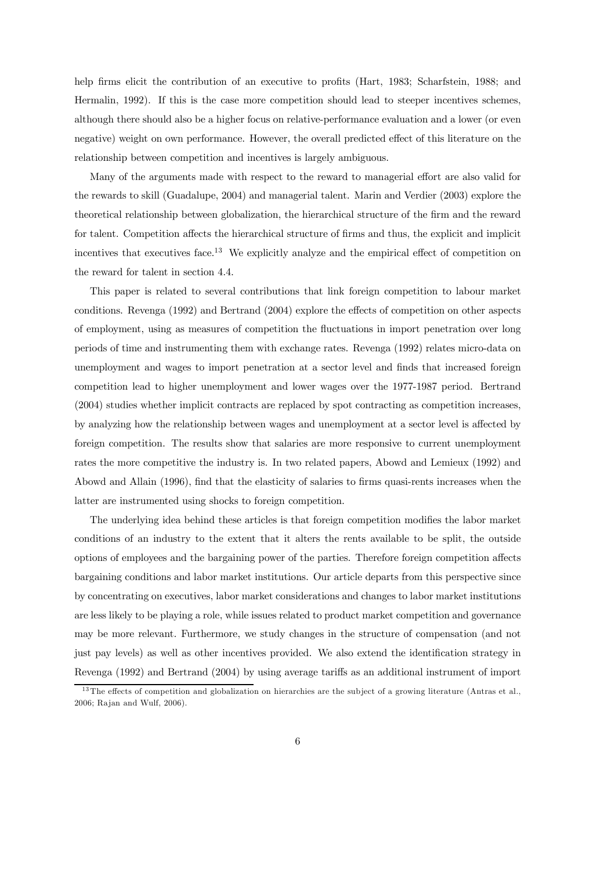help firms elicit the contribution of an executive to profits (Hart, 1983; Scharfstein, 1988; and Hermalin, 1992). If this is the case more competition should lead to steeper incentives schemes, although there should also be a higher focus on relative-performance evaluation and a lower (or even negative) weight on own performance. However, the overall predicted effect of this literature on the relationship between competition and incentives is largely ambiguous.

Many of the arguments made with respect to the reward to managerial effort are also valid for the rewards to skill (Guadalupe, 2004) and managerial talent. Marin and Verdier (2003) explore the theoretical relationship between globalization, the hierarchical structure of the firm and the reward for talent. Competition affects the hierarchical structure of firms and thus, the explicit and implicit incentives that executives face.<sup>13</sup> We explicitly analyze and the empirical effect of competition on the reward for talent in section 4.4.

This paper is related to several contributions that link foreign competition to labour market conditions. Revenga (1992) and Bertrand (2004) explore the effects of competition on other aspects of employment, using as measures of competition the fluctuations in import penetration over long periods of time and instrumenting them with exchange rates. Revenga (1992) relates micro-data on unemployment and wages to import penetration at a sector level and finds that increased foreign competition lead to higher unemployment and lower wages over the 1977-1987 period. Bertrand (2004) studies whether implicit contracts are replaced by spot contracting as competition increases, by analyzing how the relationship between wages and unemployment at a sector level is affected by foreign competition. The results show that salaries are more responsive to current unemployment rates the more competitive the industry is. In two related papers, Abowd and Lemieux (1992) and Abowd and Allain (1996), find that the elasticity of salaries to firms quasi-rents increases when the latter are instrumented using shocks to foreign competition.

The underlying idea behind these articles is that foreign competition modifies the labor market conditions of an industry to the extent that it alters the rents available to be split, the outside options of employees and the bargaining power of the parties. Therefore foreign competition affects bargaining conditions and labor market institutions. Our article departs from this perspective since by concentrating on executives, labor market considerations and changes to labor market institutions are less likely to be playing a role, while issues related to product market competition and governance may be more relevant. Furthermore, we study changes in the structure of compensation (and not just pay levels) as well as other incentives provided. We also extend the identification strategy in Revenga (1992) and Bertrand (2004) by using average tariffs as an additional instrument of import

 $13$  The effects of competition and globalization on hierarchies are the subject of a growing literature (Antras et al., 2006; Ra jan and Wulf, 2006).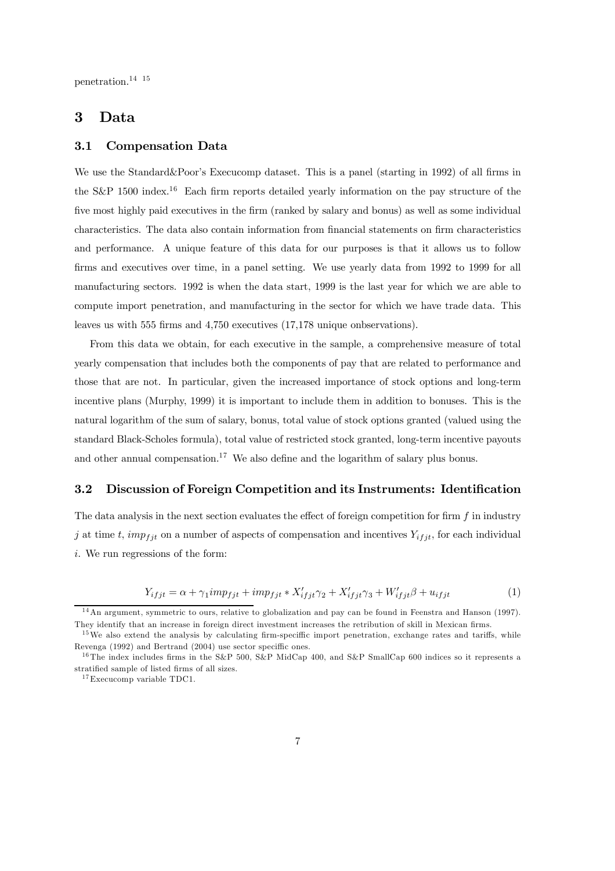penetration.14 15

### 3 Data

#### 3.1 Compensation Data

We use the Standard&Poor's Execucomp dataset. This is a panel (starting in 1992) of all firms in the S&P 1500 index.<sup>16</sup> Each firm reports detailed yearly information on the pay structure of the five most highly paid executives in the firm (ranked by salary and bonus) as well as some individual characteristics. The data also contain information from financial statements on firm characteristics and performance. A unique feature of this data for our purposes is that it allows us to follow firms and executives over time, in a panel setting. We use yearly data from 1992 to 1999 for all manufacturing sectors. 1992 is when the data start, 1999 is the last year for which we are able to compute import penetration, and manufacturing in the sector for which we have trade data. This leaves us with 555 firms and 4,750 executives (17,178 unique onbservations).

From this data we obtain, for each executive in the sample, a comprehensive measure of total yearly compensation that includes both the components of pay that are related to performance and those that are not. In particular, given the increased importance of stock options and long-term incentive plans (Murphy, 1999) it is important to include them in addition to bonuses. This is the natural logarithm of the sum of salary, bonus, total value of stock options granted (valued using the standard Black-Scholes formula), total value of restricted stock granted, long-term incentive payouts and other annual compensation.<sup>17</sup> We also define and the logarithm of salary plus bonus.

#### 3.2 Discussion of Foreign Competition and its Instruments: Identification

The data analysis in the next section evaluates the effect of foreign competition for firm f in industry j at time t, imp<sub>fjt</sub> on a number of aspects of compensation and incentives  $Y_{ifjt}$ , for each individual i. We run regressions of the form:

$$
Y_{ifjt} = \alpha + \gamma_1 imp_{fit} + imp_{fit} * X'_{ifjt}\gamma_2 + X'_{ifjt}\gamma_3 + W'_{ifjt}\beta + u_{ifjt}
$$
\n
$$
\tag{1}
$$

<sup>&</sup>lt;sup>14</sup>An argument, symmetric to ours, relative to globalization and pay can be found in Feenstra and Hanson (1997). They identify that an increase in foreign direct investment increases the retribution of skill in Mexican firms.

 $15$ We also extend the analysis by calculating firm-speciffic import penetration, exchange rates and tariffs, while Revenga (1992) and Bertrand (2004) use sector speciffic ones.

<sup>&</sup>lt;sup>16</sup> The index includes firms in the S&P 500, S&P MidCap 400, and S&P SmallCap 600 indices so it represents a stratified sample of listed firms of all sizes.

 $17$  Execucomp variable TDC1.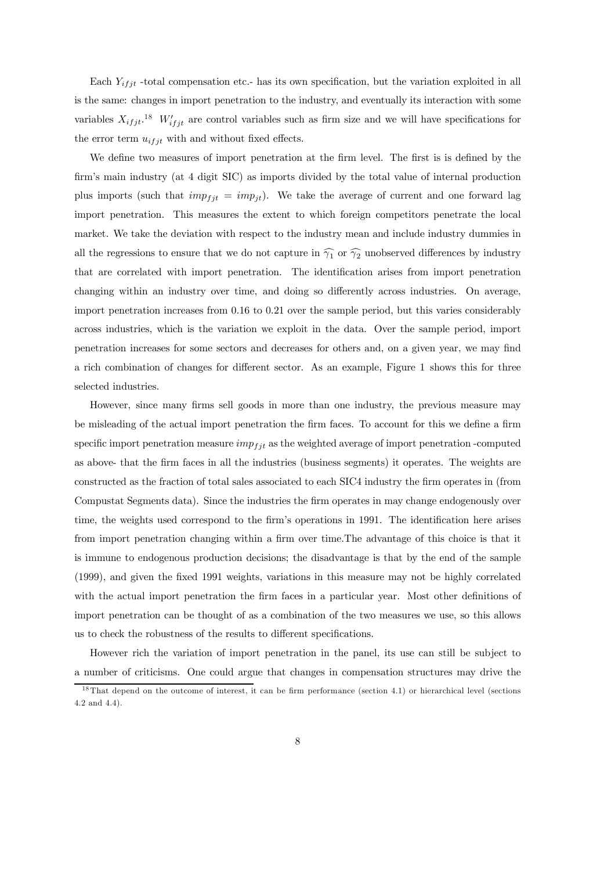Each  $Y_{ifjt}$  -total compensation etc.- has its own specification, but the variation exploited in all is the same: changes in import penetration to the industry, and eventually its interaction with some variables  $X_{ifjt}$ <sup>18</sup>  $W'_{ifjt}$  are control variables such as firm size and we will have specifications for the error term  $u_{ifit}$  with and without fixed effects.

We define two measures of import penetration at the firm level. The first is is defined by the firm's main industry (at 4 digit SIC) as imports divided by the total value of internal production plus imports (such that  $imp_{fit} = imp_{jt}$ ). We take the average of current and one forward lag import penetration. This measures the extent to which foreign competitors penetrate the local market. We take the deviation with respect to the industry mean and include industry dummies in all the regressions to ensure that we do not capture in  $\widehat{\gamma_1}$  or  $\widehat{\gamma_2}$  unobserved differences by industry that are correlated with import penetration. The identification arises from import penetration changing within an industry over time, and doing so differently across industries. On average, import penetration increases from 0.16 to 0.21 over the sample period, but this varies considerably across industries, which is the variation we exploit in the data. Over the sample period, import penetration increases for some sectors and decreases for others and, on a given year, we may find a rich combination of changes for different sector. As an example, Figure 1 shows this for three selected industries.

However, since many firms sell goods in more than one industry, the previous measure may be misleading of the actual import penetration the firm faces. To account for this we define a firm specific import penetration measure  $imp_{fit}$  as the weighted average of import penetration -computed as above- that the firm faces in all the industries (business segments) it operates. The weights are constructed as the fraction of total sales associated to each SIC4 industry the firm operates in (from Compustat Segments data). Since the industries the firm operates in may change endogenously over time, the weights used correspond to the firm's operations in 1991. The identification here arises from import penetration changing within a firm over time.The advantage of this choice is that it is immune to endogenous production decisions; the disadvantage is that by the end of the sample (1999), and given the fixed 1991 weights, variations in this measure may not be highly correlated with the actual import penetration the firm faces in a particular year. Most other definitions of import penetration can be thought of as a combination of the two measures we use, so this allows us to check the robustness of the results to different specifications.

However rich the variation of import penetration in the panel, its use can still be subject to a number of criticisms. One could argue that changes in compensation structures may drive the

 $18$  That depend on the outcome of interest, it can be firm performance (section 4.1) or hierarchical level (sections 4.2 and 4.4).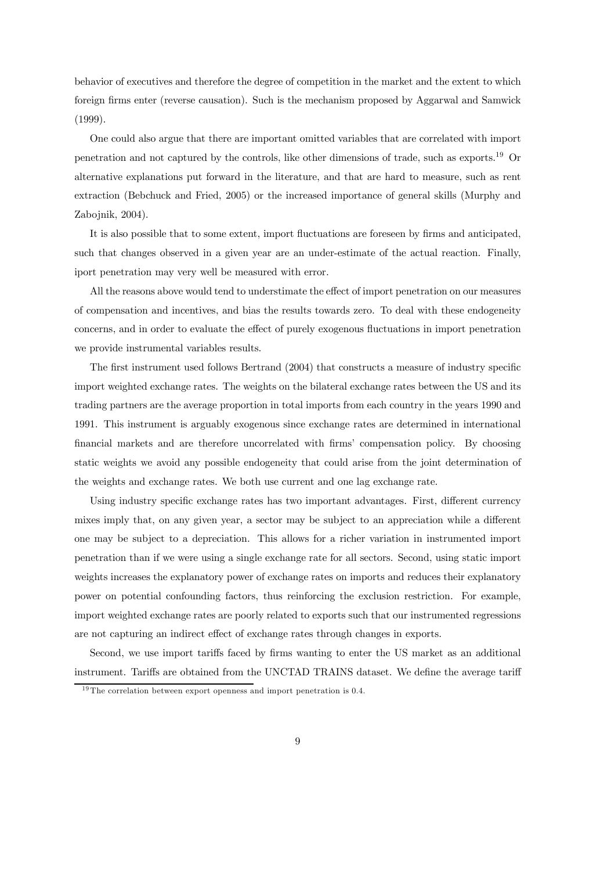behavior of executives and therefore the degree of competition in the market and the extent to which foreign firms enter (reverse causation). Such is the mechanism proposed by Aggarwal and Samwick (1999).

One could also argue that there are important omitted variables that are correlated with import penetration and not captured by the controls, like other dimensions of trade, such as exports.<sup>19</sup> Or alternative explanations put forward in the literature, and that are hard to measure, such as rent extraction (Bebchuck and Fried, 2005) or the increased importance of general skills (Murphy and Zabojnik, 2004).

It is also possible that to some extent, import fluctuations are foreseen by firms and anticipated, such that changes observed in a given year are an under-estimate of the actual reaction. Finally, iport penetration may very well be measured with error.

All the reasons above would tend to understimate the effect of import penetration on our measures of compensation and incentives, and bias the results towards zero. To deal with these endogeneity concerns, and in order to evaluate the effect of purely exogenous fluctuations in import penetration we provide instrumental variables results.

The first instrument used follows Bertrand (2004) that constructs a measure of industry specific import weighted exchange rates. The weights on the bilateral exchange rates between the US and its trading partners are the average proportion in total imports from each country in the years 1990 and 1991. This instrument is arguably exogenous since exchange rates are determined in international financial markets and are therefore uncorrelated with firms' compensation policy. By choosing static weights we avoid any possible endogeneity that could arise from the joint determination of the weights and exchange rates. We both use current and one lag exchange rate.

Using industry specific exchange rates has two important advantages. First, different currency mixes imply that, on any given year, a sector may be subject to an appreciation while a different one may be subject to a depreciation. This allows for a richer variation in instrumented import penetration than if we were using a single exchange rate for all sectors. Second, using static import weights increases the explanatory power of exchange rates on imports and reduces their explanatory power on potential confounding factors, thus reinforcing the exclusion restriction. For example, import weighted exchange rates are poorly related to exports such that our instrumented regressions are not capturing an indirect effect of exchange rates through changes in exports.

Second, we use import tariffs faced by firms wanting to enter the US market as an additional instrument. Tariffs are obtained from the UNCTAD TRAINS dataset. We define the average tariff

 $19$  The correlation between export openness and import penetration is 0.4.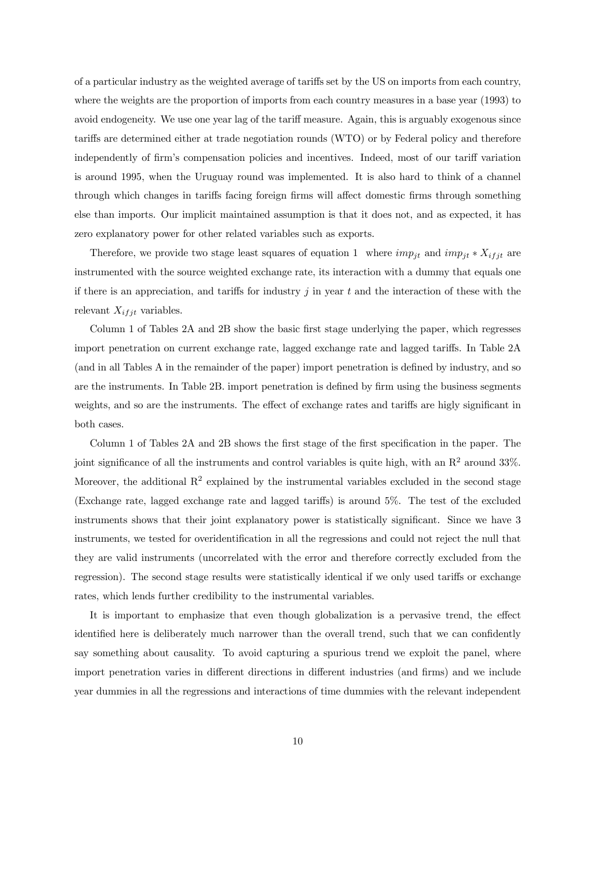of a particular industry as the weighted average of tariffs set by the US on imports from each country, where the weights are the proportion of imports from each country measures in a base year (1993) to avoid endogeneity. We use one year lag of the tariff measure. Again, this is arguably exogenous since tariffs are determined either at trade negotiation rounds (WTO) or by Federal policy and therefore independently of firm's compensation policies and incentives. Indeed, most of our tariff variation is around 1995, when the Uruguay round was implemented. It is also hard to think of a channel through which changes in tariffs facing foreign firms will affect domestic firms through something else than imports. Our implicit maintained assumption is that it does not, and as expected, it has zero explanatory power for other related variables such as exports.

Therefore, we provide two stage least squares of equation 1 where  $imp_{jt}$  and  $imp_{jt} * X_{ifjt}$  are instrumented with the source weighted exchange rate, its interaction with a dummy that equals one if there is an appreciation, and tariffs for industry  $j$  in year  $t$  and the interaction of these with the relevant  $X_{ifjt}$  variables.

Column 1 of Tables 2A and 2B show the basic first stage underlying the paper, which regresses import penetration on current exchange rate, lagged exchange rate and lagged tariffs. In Table 2A (and in all Tables A in the remainder of the paper) import penetration is defined by industry, and so are the instruments. In Table 2B. import penetration is defined by firm using the business segments weights, and so are the instruments. The effect of exchange rates and tariffs are higly significant in both cases.

Column 1 of Tables 2A and 2B shows the first stage of the first specification in the paper. The joint significance of all the instruments and control variables is quite high, with an  $\mathbb{R}^2$  around 33%. Moreover, the additional  $R^2$  explained by the instrumental variables excluded in the second stage (Exchange rate, lagged exchange rate and lagged tariffs) is around 5%. The test of the excluded instruments shows that their joint explanatory power is statistically significant. Since we have 3 instruments, we tested for overidentification in all the regressions and could not reject the null that they are valid instruments (uncorrelated with the error and therefore correctly excluded from the regression). The second stage results were statistically identical if we only used tariffs or exchange rates, which lends further credibility to the instrumental variables.

It is important to emphasize that even though globalization is a pervasive trend, the effect identified here is deliberately much narrower than the overall trend, such that we can confidently say something about causality. To avoid capturing a spurious trend we exploit the panel, where import penetration varies in different directions in different industries (and firms) and we include year dummies in all the regressions and interactions of time dummies with the relevant independent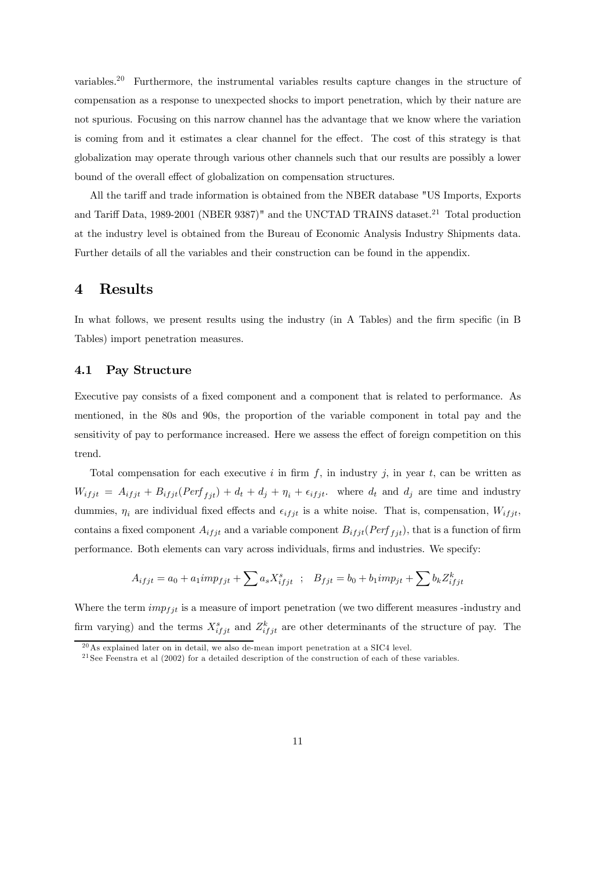variables.<sup>20</sup> Furthermore, the instrumental variables results capture changes in the structure of compensation as a response to unexpected shocks to import penetration, which by their nature are not spurious. Focusing on this narrow channel has the advantage that we know where the variation is coming from and it estimates a clear channel for the effect. The cost of this strategy is that globalization may operate through various other channels such that our results are possibly a lower bound of the overall effect of globalization on compensation structures.

All the tariff and trade information is obtained from the NBER database "US Imports, Exports and Tariff Data, 1989-2001 (NBER 9387)" and the UNCTAD TRAINS dataset.<sup>21</sup> Total production at the industry level is obtained from the Bureau of Economic Analysis Industry Shipments data. Further details of all the variables and their construction can be found in the appendix.

### 4 Results

In what follows, we present results using the industry (in A Tables) and the firm specific (in B Tables) import penetration measures.

### 4.1 Pay Structure

Executive pay consists of a fixed component and a component that is related to performance. As mentioned, in the 80s and 90s, the proportion of the variable component in total pay and the sensitivity of pay to performance increased. Here we assess the effect of foreign competition on this trend.

Total compensation for each executive i in firm f, in industry j, in year t, can be written as  $W_{ifjt} = A_{ifjt} + B_{ifjt}(Perf_{fit}) + d_t + d_j + \eta_i + \epsilon_{ifjt}$ . where  $d_t$  and  $d_j$  are time and industry dummies,  $\eta_i$  are individual fixed effects and  $\epsilon_{ifjt}$  is a white noise. That is, compensation,  $W_{ifjt}$ , contains a fixed component  $A_{ifjt}$  and a variable component  $B_{ifjt}(Perf_{fit})$ , that is a function of firm performance. Both elements can vary across individuals, firms and industries. We specify:

$$
A_{ifjt} = a_0 + a_1 \text{im} p_{fjt} + \sum a_s X_{ifjt}^s \; ; \; B_{fjt} = b_0 + b_1 \text{im} p_{jt} + \sum b_k Z_{ifjt}^k
$$

Where the term  $imp_{fit}$  is a measure of import penetration (we two different measures -industry and firm varying) and the terms  $X_{ifjt}^s$  and  $Z_{ifjt}^k$  are other determinants of the structure of pay. The

 $20$ As explained later on in detail, we also de-mean import penetration at a SIC4 level.

<sup>&</sup>lt;sup>21</sup> See Feenstra et al  $(2002)$  for a detailed description of the construction of each of these variables.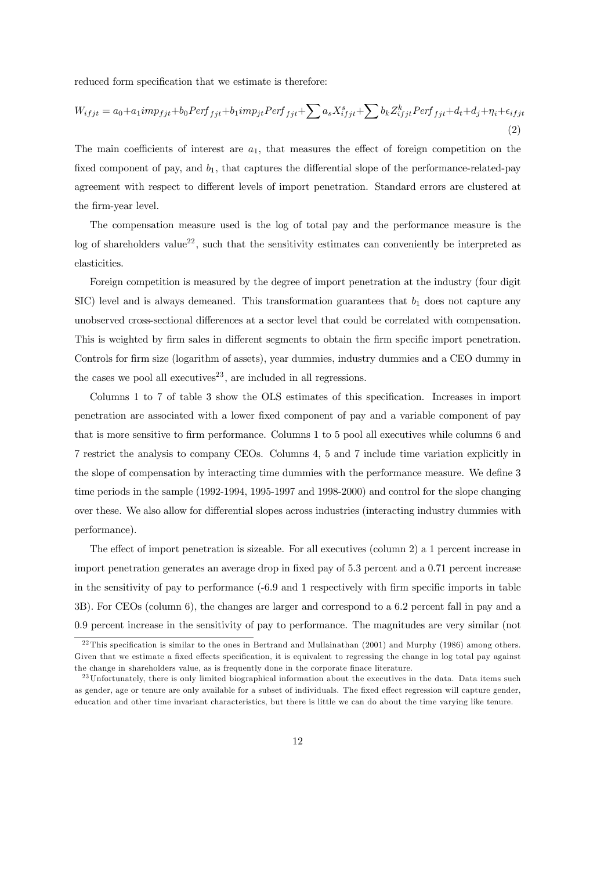reduced form specification that we estimate is therefore:

$$
W_{ifjt} = a_0 + a_1 imp_{fit} + b_0 Perf_{fjt} + b_1 imp_{jt} Perf_{fjt} + \sum a_s X_{ifjt}^s + \sum b_k Z_{ifjt}^k Perf_{fjt} + d_t + d_j + \eta_i + \epsilon_{ifjt}
$$
\n
$$
\tag{2}
$$

The main coefficients of interest are  $a_1$ , that measures the effect of foreign competition on the fixed component of pay, and  $b_1$ , that captures the differential slope of the performance-related-pay agreement with respect to different levels of import penetration. Standard errors are clustered at the firm-year level.

The compensation measure used is the log of total pay and the performance measure is the log of shareholders value<sup>22</sup>, such that the sensitivity estimates can conveniently be interpreted as elasticities.

Foreign competition is measured by the degree of import penetration at the industry (four digit SIC) level and is always demeaned. This transformation guarantees that  $b_1$  does not capture any unobserved cross-sectional differences at a sector level that could be correlated with compensation. This is weighted by firm sales in different segments to obtain the firm specific import penetration. Controls for firm size (logarithm of assets), year dummies, industry dummies and a CEO dummy in the cases we pool all executives<sup>23</sup>, are included in all regressions.

Columns 1 to 7 of table 3 show the OLS estimates of this specification. Increases in import penetration are associated with a lower fixed component of pay and a variable component of pay that is more sensitive to firm performance. Columns 1 to 5 pool all executives while columns 6 and 7 restrict the analysis to company CEOs. Columns 4, 5 and 7 include time variation explicitly in the slope of compensation by interacting time dummies with the performance measure. We define 3 time periods in the sample (1992-1994, 1995-1997 and 1998-2000) and control for the slope changing over these. We also allow for differential slopes across industries (interacting industry dummies with performance).

The effect of import penetration is sizeable. For all executives (column 2) a 1 percent increase in import penetration generates an average drop in fixed pay of 5.3 percent and a 0.71 percent increase in the sensitivity of pay to performance (-6.9 and 1 respectively with firm specific imports in table 3B). For CEOs (column 6), the changes are larger and correspond to a 6.2 percent fall in pay and a 0.9 percent increase in the sensitivity of pay to performance. The magnitudes are very similar (not

 $^{22}$ This specification is similar to the ones in Bertrand and Mullainathan (2001) and Murphy (1986) among others. Given that we estimate a fixed effects specification, it is equivalent to regressing the change in log total pay against the change in shareholders value, as is frequently done in the corporate finace literature.

<sup>&</sup>lt;sup>23</sup> Unfortunately, there is only limited biographical information about the executives in the data. Data items such as gender, age or tenure are only available for a subset of individuals. The fixed effect regression will capture gender, education and other time invariant characteristics, but there is little we can do about the time varying like tenure.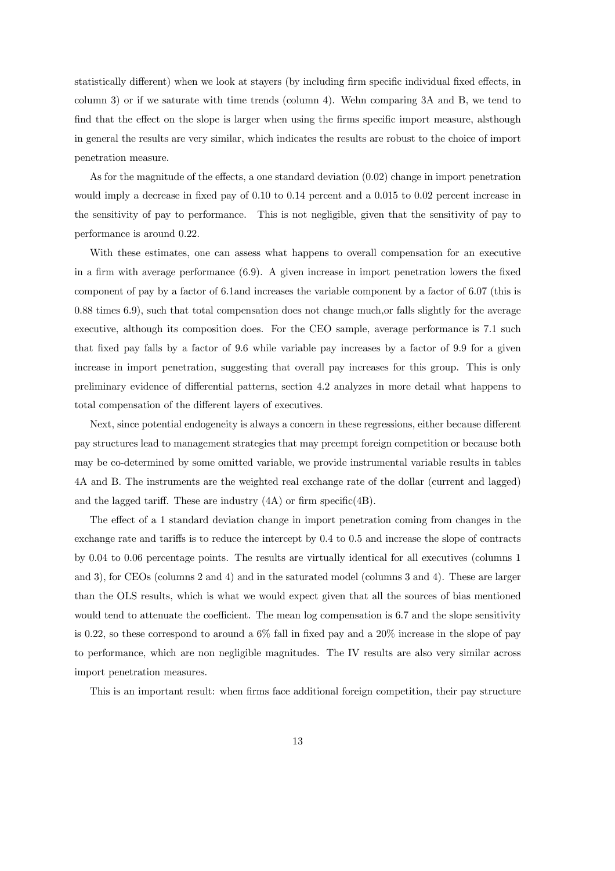statistically different) when we look at stayers (by including firm specific individual fixed effects, in column 3) or if we saturate with time trends (column 4). Wehn comparing 3A and B, we tend to find that the effect on the slope is larger when using the firms specific import measure, alsthough in general the results are very similar, which indicates the results are robust to the choice of import penetration measure.

As for the magnitude of the effects, a one standard deviation (0.02) change in import penetration would imply a decrease in fixed pay of 0.10 to 0.14 percent and a 0.015 to 0.02 percent increase in the sensitivity of pay to performance. This is not negligible, given that the sensitivity of pay to performance is around 0.22.

With these estimates, one can assess what happens to overall compensation for an executive in a firm with average performance (6.9). A given increase in import penetration lowers the fixed component of pay by a factor of 6.1and increases the variable component by a factor of 6.07 (this is 0.88 times 6.9), such that total compensation does not change much,or falls slightly for the average executive, although its composition does. For the CEO sample, average performance is 7.1 such that fixed pay falls by a factor of 9.6 while variable pay increases by a factor of 9.9 for a given increase in import penetration, suggesting that overall pay increases for this group. This is only preliminary evidence of differential patterns, section 4.2 analyzes in more detail what happens to total compensation of the different layers of executives.

Next, since potential endogeneity is always a concern in these regressions, either because different pay structures lead to management strategies that may preempt foreign competition or because both may be co-determined by some omitted variable, we provide instrumental variable results in tables 4A and B. The instruments are the weighted real exchange rate of the dollar (current and lagged) and the lagged tariff. These are industry (4A) or firm specific(4B).

The effect of a 1 standard deviation change in import penetration coming from changes in the exchange rate and tariffs is to reduce the intercept by 0.4 to 0.5 and increase the slope of contracts by 0.04 to 0.06 percentage points. The results are virtually identical for all executives (columns 1 and 3), for CEOs (columns 2 and 4) and in the saturated model (columns 3 and 4). These are larger than the OLS results, which is what we would expect given that all the sources of bias mentioned would tend to attenuate the coefficient. The mean log compensation is 6.7 and the slope sensitivity is 0.22, so these correspond to around a  $6\%$  fall in fixed pay and a  $20\%$  increase in the slope of pay to performance, which are non negligible magnitudes. The IV results are also very similar across import penetration measures.

This is an important result: when firms face additional foreign competition, their pay structure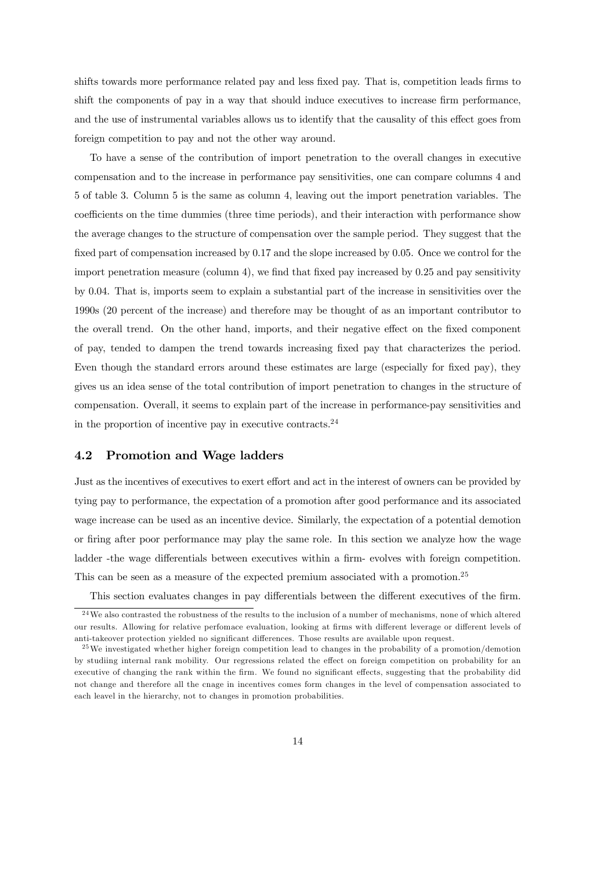shifts towards more performance related pay and less fixed pay. That is, competition leads firms to shift the components of pay in a way that should induce executives to increase firm performance, and the use of instrumental variables allows us to identify that the causality of this effect goes from foreign competition to pay and not the other way around.

To have a sense of the contribution of import penetration to the overall changes in executive compensation and to the increase in performance pay sensitivities, one can compare columns 4 and 5 of table 3. Column 5 is the same as column 4, leaving out the import penetration variables. The coefficients on the time dummies (three time periods), and their interaction with performance show the average changes to the structure of compensation over the sample period. They suggest that the fixed part of compensation increased by 0.17 and the slope increased by 0.05. Once we control for the import penetration measure (column 4), we find that fixed pay increased by 0.25 and pay sensitivity by 0.04. That is, imports seem to explain a substantial part of the increase in sensitivities over the 1990s (20 percent of the increase) and therefore may be thought of as an important contributor to the overall trend. On the other hand, imports, and their negative effect on the fixed component of pay, tended to dampen the trend towards increasing fixed pay that characterizes the period. Even though the standard errors around these estimates are large (especially for fixed pay), they gives us an idea sense of the total contribution of import penetration to changes in the structure of compensation. Overall, it seems to explain part of the increase in performance-pay sensitivities and in the proportion of incentive pay in executive contracts.<sup>24</sup>

### 4.2 Promotion and Wage ladders

Just as the incentives of executives to exert effort and act in the interest of owners can be provided by tying pay to performance, the expectation of a promotion after good performance and its associated wage increase can be used as an incentive device. Similarly, the expectation of a potential demotion or firing after poor performance may play the same role. In this section we analyze how the wage ladder -the wage differentials between executives within a firm- evolves with foreign competition. This can be seen as a measure of the expected premium associated with a promotion.<sup>25</sup>

This section evaluates changes in pay differentials between the different executives of the firm.

<sup>2 4</sup>We also contrasted the robustness of the results to the inclusion of a number of mechanisms, none of which altered our results. Allowing for relative perfomace evaluation, looking at firms with different leverage or different levels of anti-takeover protection yielded no significant differences. Those results are available upon request.

<sup>&</sup>lt;sup>25</sup>We investigated whether higher foreign competition lead to changes in the probability of a promotion/demotion by studiing internal rank mobility. Our regressions related the effect on foreign competition on probability for an executive of changing the rank within the firm. We found no significant effects, suggesting that the probability did not change and therefore all the cnage in incentives comes form changes in the level of compensation associated to each leavel in the hierarchy, not to changes in promotion probabilities.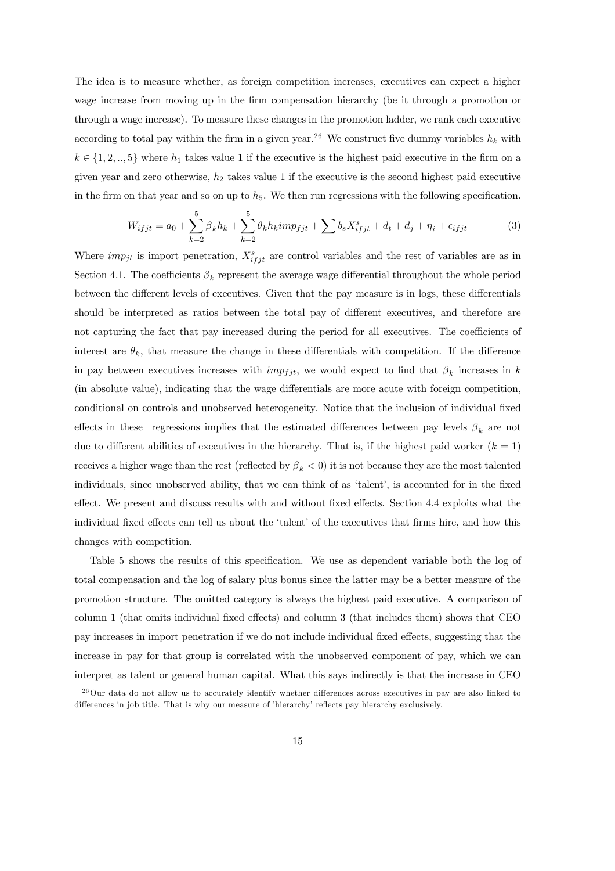The idea is to measure whether, as foreign competition increases, executives can expect a higher wage increase from moving up in the firm compensation hierarchy (be it through a promotion or through a wage increase). To measure these changes in the promotion ladder, we rank each executive according to total pay within the firm in a given year.<sup>26</sup> We construct five dummy variables  $h_k$  with  $k \in \{1, 2, ..., 5\}$  where  $h_1$  takes value 1 if the executive is the highest paid executive in the firm on a given year and zero otherwise,  $h_2$  takes value 1 if the executive is the second highest paid executive in the firm on that year and so on up to  $h_5$ . We then run regressions with the following specification.

$$
W_{ifjt} = a_0 + \sum_{k=2}^{5} \beta_k h_k + \sum_{k=2}^{5} \theta_k h_k imp_{fjt} + \sum b_s X_{ifjt}^s + d_t + d_j + \eta_i + \epsilon_{ifjt}
$$
(3)

Where  $imp_{jt}$  is import penetration,  $X_{ifjt}^s$  are control variables and the rest of variables are as in Section 4.1. The coefficients  $\beta_k$  represent the average wage differential throughout the whole period between the different levels of executives. Given that the pay measure is in logs, these differentials should be interpreted as ratios between the total pay of different executives, and therefore are not capturing the fact that pay increased during the period for all executives. The coefficients of interest are  $\theta_k$ , that measure the change in these differentials with competition. If the difference in pay between executives increases with  $imp_{fit}$ , we would expect to find that  $\beta_k$  increases in k (in absolute value), indicating that the wage differentials are more acute with foreign competition, conditional on controls and unobserved heterogeneity. Notice that the inclusion of individual fixed effects in these regressions implies that the estimated differences between pay levels  $\beta_k$  are not due to different abilities of executives in the hierarchy. That is, if the highest paid worker  $(k = 1)$ receives a higher wage than the rest (reflected by  $\beta_k < 0$ ) it is not because they are the most talented individuals, since unobserved ability, that we can think of as 'talent', is accounted for in the fixed effect. We present and discuss results with and without fixed effects. Section 4.4 exploits what the individual fixed effects can tell us about the 'talent' of the executives that firms hire, and how this changes with competition.

Table 5 shows the results of this specification. We use as dependent variable both the log of total compensation and the log of salary plus bonus since the latter may be a better measure of the promotion structure. The omitted category is always the highest paid executive. A comparison of column 1 (that omits individual fixed effects) and column 3 (that includes them) shows that CEO pay increases in import penetration if we do not include individual fixed effects, suggesting that the increase in pay for that group is correlated with the unobserved component of pay, which we can interpret as talent or general human capital. What this says indirectly is that the increase in CEO

<sup>&</sup>lt;sup>26</sup>Our data do not allow us to accurately identify whether differences across executives in pay are also linked to differences in job title. That is why our measure of 'hierarchy' reflects pay hierarchy exclusively.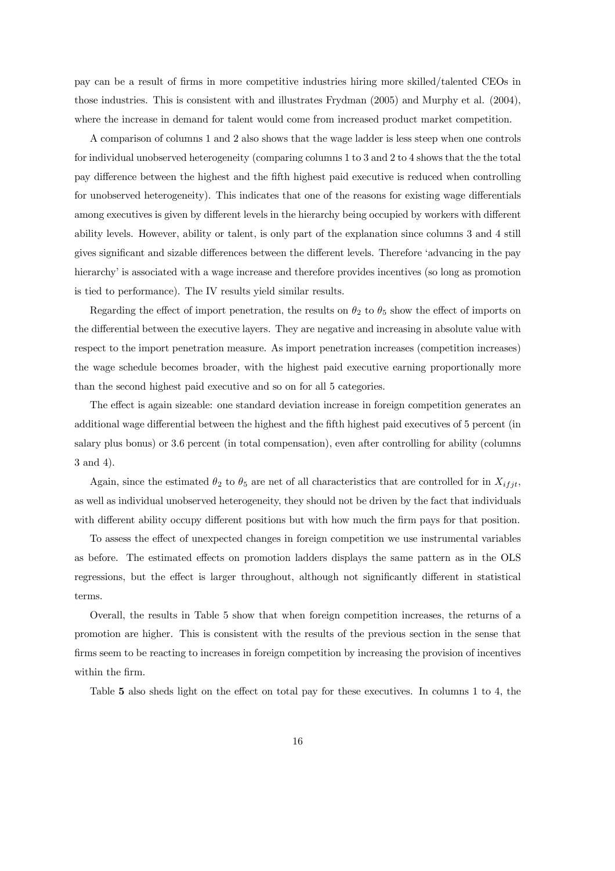pay can be a result of firms in more competitive industries hiring more skilled/talented CEOs in those industries. This is consistent with and illustrates Frydman (2005) and Murphy et al. (2004), where the increase in demand for talent would come from increased product market competition.

A comparison of columns 1 and 2 also shows that the wage ladder is less steep when one controls for individual unobserved heterogeneity (comparing columns 1 to 3 and 2 to 4 shows that the the total pay difference between the highest and the fifth highest paid executive is reduced when controlling for unobserved heterogeneity). This indicates that one of the reasons for existing wage differentials among executives is given by different levels in the hierarchy being occupied by workers with different ability levels. However, ability or talent, is only part of the explanation since columns 3 and 4 still gives significant and sizable differences between the different levels. Therefore 'advancing in the pay hierarchy' is associated with a wage increase and therefore provides incentives (so long as promotion is tied to performance). The IV results yield similar results.

Regarding the effect of import penetration, the results on  $\theta_2$  to  $\theta_5$  show the effect of imports on the differential between the executive layers. They are negative and increasing in absolute value with respect to the import penetration measure. As import penetration increases (competition increases) the wage schedule becomes broader, with the highest paid executive earning proportionally more than the second highest paid executive and so on for all 5 categories.

The effect is again sizeable: one standard deviation increase in foreign competition generates an additional wage differential between the highest and the fifth highest paid executives of 5 percent (in salary plus bonus) or 3.6 percent (in total compensation), even after controlling for ability (columns 3 and 4).

Again, since the estimated  $\theta_2$  to  $\theta_5$  are net of all characteristics that are controlled for in  $X_{ifjt}$ , as well as individual unobserved heterogeneity, they should not be driven by the fact that individuals with different ability occupy different positions but with how much the firm pays for that position.

To assess the effect of unexpected changes in foreign competition we use instrumental variables as before. The estimated effects on promotion ladders displays the same pattern as in the OLS regressions, but the effect is larger throughout, although not significantly different in statistical terms.

Overall, the results in Table 5 show that when foreign competition increases, the returns of a promotion are higher. This is consistent with the results of the previous section in the sense that firms seem to be reacting to increases in foreign competition by increasing the provision of incentives within the firm.

Table 5 also sheds light on the effect on total pay for these executives. In columns 1 to 4, the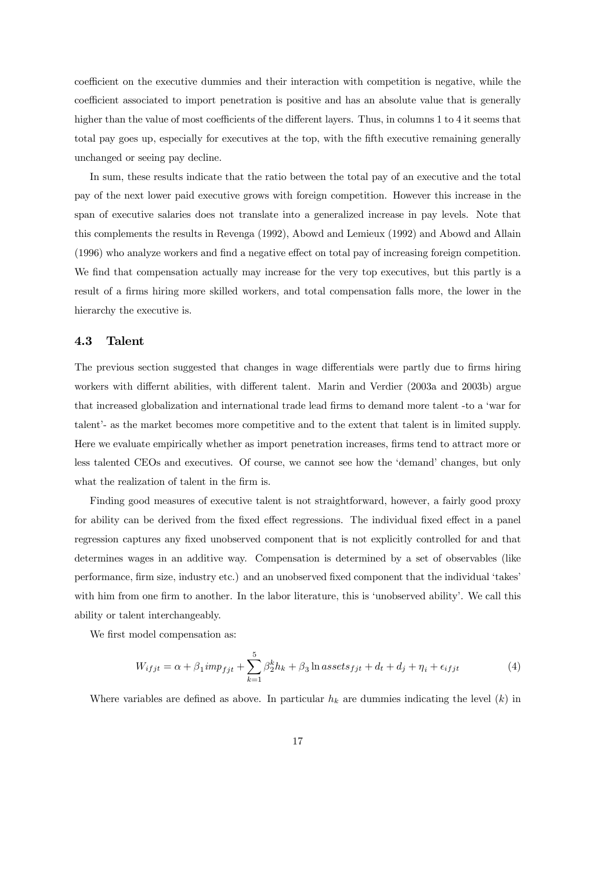coefficient on the executive dummies and their interaction with competition is negative, while the coefficient associated to import penetration is positive and has an absolute value that is generally higher than the value of most coefficients of the different layers. Thus, in columns 1 to 4 it seems that total pay goes up, especially for executives at the top, with the fifth executive remaining generally unchanged or seeing pay decline.

In sum, these results indicate that the ratio between the total pay of an executive and the total pay of the next lower paid executive grows with foreign competition. However this increase in the span of executive salaries does not translate into a generalized increase in pay levels. Note that this complements the results in Revenga (1992), Abowd and Lemieux (1992) and Abowd and Allain (1996) who analyze workers and find a negative effect on total pay of increasing foreign competition. We find that compensation actually may increase for the very top executives, but this partly is a result of a firms hiring more skilled workers, and total compensation falls more, the lower in the hierarchy the executive is.

#### 4.3 Talent

The previous section suggested that changes in wage differentials were partly due to firms hiring workers with differnt abilities, with different talent. Marin and Verdier (2003a and 2003b) argue that increased globalization and international trade lead firms to demand more talent -to a 'war for talent'- as the market becomes more competitive and to the extent that talent is in limited supply. Here we evaluate empirically whether as import penetration increases, firms tend to attract more or less talented CEOs and executives. Of course, we cannot see how the 'demand' changes, but only what the realization of talent in the firm is.

Finding good measures of executive talent is not straightforward, however, a fairly good proxy for ability can be derived from the fixed effect regressions. The individual fixed effect in a panel regression captures any fixed unobserved component that is not explicitly controlled for and that determines wages in an additive way. Compensation is determined by a set of observables (like performance, firm size, industry etc.) and an unobserved fixed component that the individual 'takes' with him from one firm to another. In the labor literature, this is 'unobserved ability'. We call this ability or talent interchangeably.

We first model compensation as:

$$
W_{ifjt} = \alpha + \beta_1 imp_{fit} + \sum_{k=1}^{5} \beta_2^k h_k + \beta_3 \ln assets_{fjt} + d_t + d_j + \eta_i + \epsilon_{ifjt}
$$
\n
$$
\tag{4}
$$

Where variables are defined as above. In particular  $h_k$  are dummies indicating the level  $(k)$  in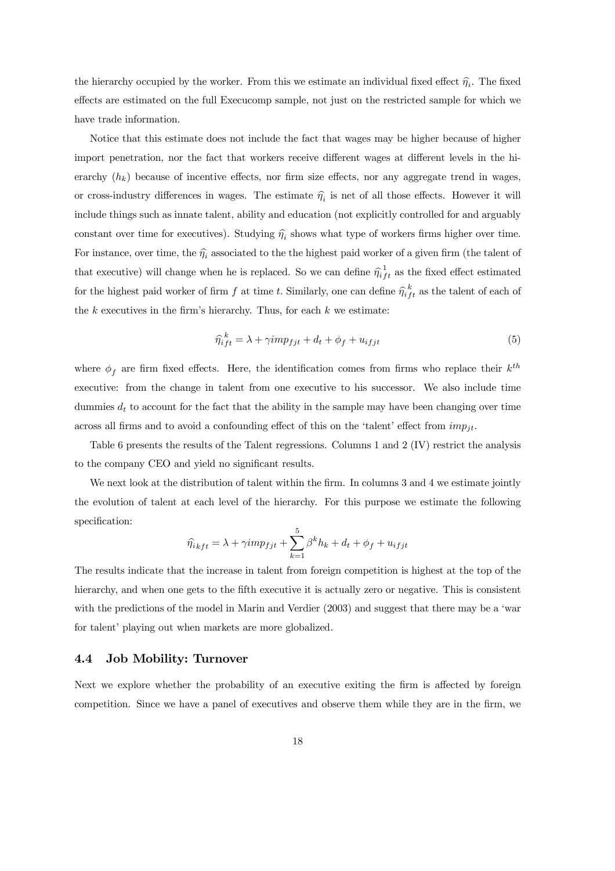the hierarchy occupied by the worker. From this we estimate an individual fixed effect  $\hat{\eta_i}$ . The fixed effects are estimated on the full Execucomp sample, not just on the restricted sample for which we have trade information.

Notice that this estimate does not include the fact that wages may be higher because of higher import penetration, nor the fact that workers receive different wages at different levels in the hierarchy  $(h_k)$  because of incentive effects, nor firm size effects, nor any aggregate trend in wages, or cross-industry differences in wages. The estimate  $\hat{\eta}_i$  is net of all those effects. However it will include things such as innate talent, ability and education (not explicitly controlled for and arguably constant over time for executives). Studying  $\hat{\eta}_i$  shows what type of workers firms higher over time. For instance, over time, the  $\hat{\eta}_i$  associated to the the highest paid worker of a given firm (the talent of that executive) will change when he is replaced. So we can define  $\hat{\eta}_{ift}^{1}$  as the fixed effect estimated for the highest paid worker of firm  $f$  at time  $t$ . Similarly, one can define  $\hat{\eta}_{if}^{k}$  as the talent of each of the  $k$  executives in the firm's hierarchy. Thus, for each  $k$  we estimate:

$$
\hat{\eta}_{ift}^{k} = \lambda + \gamma imp_{fit} + d_t + \phi_f + u_{ifjt}
$$
\n<sup>(5)</sup>

where  $\phi_f$  are firm fixed effects. Here, the identification comes from firms who replace their  $k^{th}$ executive: from the change in talent from one executive to his successor. We also include time dummies  $d_t$  to account for the fact that the ability in the sample may have been changing over time across all firms and to avoid a confounding effect of this on the 'talent' effect from  $imp_{it}$ .

Table 6 presents the results of the Talent regressions. Columns 1 and 2 (IV) restrict the analysis to the company CEO and yield no significant results.

We next look at the distribution of talent within the firm. In columns 3 and 4 we estimate jointly the evolution of talent at each level of the hierarchy. For this purpose we estimate the following specification:

$$
\widehat{\eta_{ikft}} = \lambda + \gamma imp_{fjt} + \sum_{k=1}^5 \beta^k h_k + d_t + \phi_f + u_{ifjt}
$$

The results indicate that the increase in talent from foreign competition is highest at the top of the hierarchy, and when one gets to the fifth executive it is actually zero or negative. This is consistent with the predictions of the model in Marin and Verdier (2003) and suggest that there may be a 'war for talent' playing out when markets are more globalized.

#### 4.4 Job Mobility: Turnover

Next we explore whether the probability of an executive exiting the firm is affected by foreign competition. Since we have a panel of executives and observe them while they are in the firm, we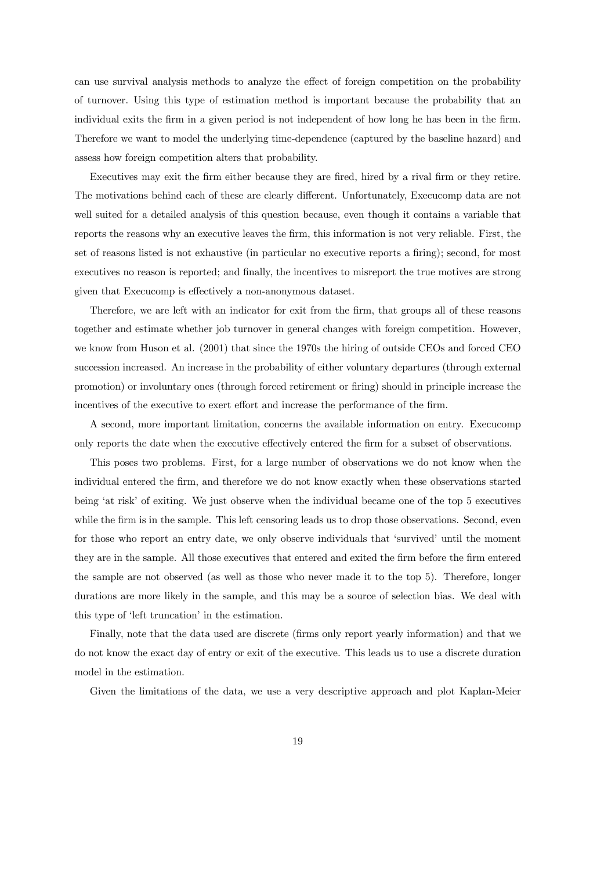can use survival analysis methods to analyze the effect of foreign competition on the probability of turnover. Using this type of estimation method is important because the probability that an individual exits the firm in a given period is not independent of how long he has been in the firm. Therefore we want to model the underlying time-dependence (captured by the baseline hazard) and assess how foreign competition alters that probability.

Executives may exit the firm either because they are fired, hired by a rival firm or they retire. The motivations behind each of these are clearly different. Unfortunately, Execucomp data are not well suited for a detailed analysis of this question because, even though it contains a variable that reports the reasons why an executive leaves the firm, this information is not very reliable. First, the set of reasons listed is not exhaustive (in particular no executive reports a firing); second, for most executives no reason is reported; and finally, the incentives to misreport the true motives are strong given that Execucomp is effectively a non-anonymous dataset.

Therefore, we are left with an indicator for exit from the firm, that groups all of these reasons together and estimate whether job turnover in general changes with foreign competition. However, we know from Huson et al. (2001) that since the 1970s the hiring of outside CEOs and forced CEO succession increased. An increase in the probability of either voluntary departures (through external promotion) or involuntary ones (through forced retirement or firing) should in principle increase the incentives of the executive to exert effort and increase the performance of the firm.

A second, more important limitation, concerns the available information on entry. Execucomp only reports the date when the executive effectively entered the firm for a subset of observations.

This poses two problems. First, for a large number of observations we do not know when the individual entered the firm, and therefore we do not know exactly when these observations started being 'at risk' of exiting. We just observe when the individual became one of the top 5 executives while the firm is in the sample. This left censoring leads us to drop those observations. Second, even for those who report an entry date, we only observe individuals that 'survived' until the moment they are in the sample. All those executives that entered and exited the firm before the firm entered the sample are not observed (as well as those who never made it to the top 5). Therefore, longer durations are more likely in the sample, and this may be a source of selection bias. We deal with this type of 'left truncation' in the estimation.

Finally, note that the data used are discrete (firms only report yearly information) and that we do not know the exact day of entry or exit of the executive. This leads us to use a discrete duration model in the estimation.

Given the limitations of the data, we use a very descriptive approach and plot Kaplan-Meier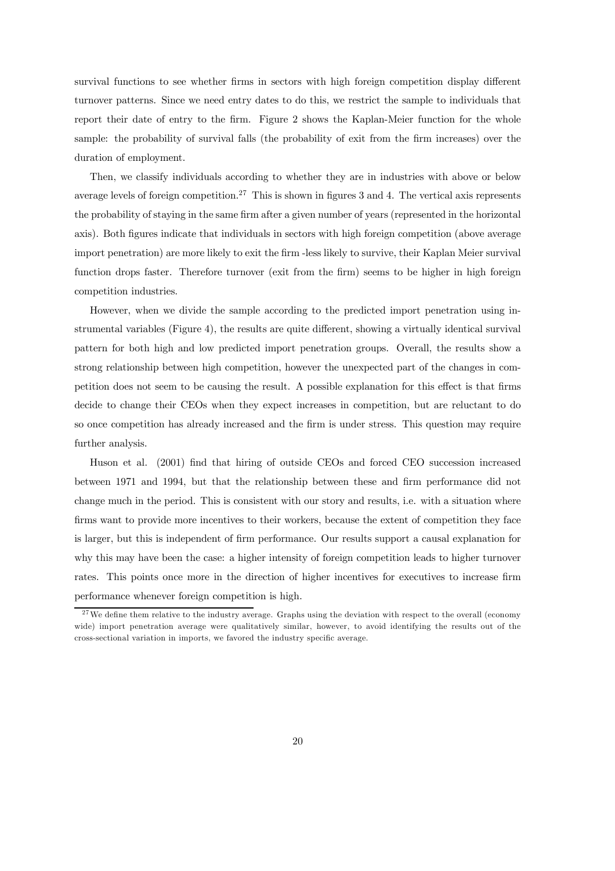survival functions to see whether firms in sectors with high foreign competition display different turnover patterns. Since we need entry dates to do this, we restrict the sample to individuals that report their date of entry to the firm. Figure 2 shows the Kaplan-Meier function for the whole sample: the probability of survival falls (the probability of exit from the firm increases) over the duration of employment.

Then, we classify individuals according to whether they are in industries with above or below average levels of foreign competition.<sup>27</sup> This is shown in figures 3 and 4. The vertical axis represents the probability of staying in the same firm after a given number of years (represented in the horizontal axis). Both figures indicate that individuals in sectors with high foreign competition (above average import penetration) are more likely to exit the firm -less likely to survive, their Kaplan Meier survival function drops faster. Therefore turnover (exit from the firm) seems to be higher in high foreign competition industries.

However, when we divide the sample according to the predicted import penetration using instrumental variables (Figure 4), the results are quite different, showing a virtually identical survival pattern for both high and low predicted import penetration groups. Overall, the results show a strong relationship between high competition, however the unexpected part of the changes in competition does not seem to be causing the result. A possible explanation for this effect is that firms decide to change their CEOs when they expect increases in competition, but are reluctant to do so once competition has already increased and the firm is under stress. This question may require further analysis.

Huson et al. (2001) find that hiring of outside CEOs and forced CEO succession increased between 1971 and 1994, but that the relationship between these and firm performance did not change much in the period. This is consistent with our story and results, i.e. with a situation where firms want to provide more incentives to their workers, because the extent of competition they face is larger, but this is independent of firm performance. Our results support a causal explanation for why this may have been the case: a higher intensity of foreign competition leads to higher turnover rates. This points once more in the direction of higher incentives for executives to increase firm performance whenever foreign competition is high.

 $27$  We define them relative to the industry average. Graphs using the deviation with respect to the overall (economy wide) import penetration average were qualitatively similar, however, to avoid identifying the results out of the cross-sectional variation in imports, we favored the industry specific average.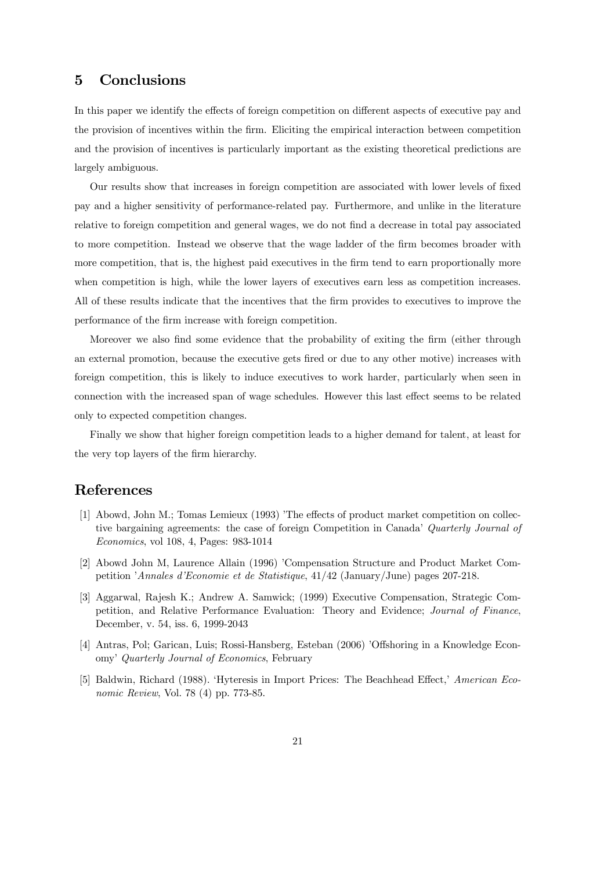### 5 Conclusions

In this paper we identify the effects of foreign competition on different aspects of executive pay and the provision of incentives within the firm. Eliciting the empirical interaction between competition and the provision of incentives is particularly important as the existing theoretical predictions are largely ambiguous.

Our results show that increases in foreign competition are associated with lower levels of fixed pay and a higher sensitivity of performance-related pay. Furthermore, and unlike in the literature relative to foreign competition and general wages, we do not find a decrease in total pay associated to more competition. Instead we observe that the wage ladder of the firm becomes broader with more competition, that is, the highest paid executives in the firm tend to earn proportionally more when competition is high, while the lower layers of executives earn less as competition increases. All of these results indicate that the incentives that the firm provides to executives to improve the performance of the firm increase with foreign competition.

Moreover we also find some evidence that the probability of exiting the firm (either through an external promotion, because the executive gets fired or due to any other motive) increases with foreign competition, this is likely to induce executives to work harder, particularly when seen in connection with the increased span of wage schedules. However this last effect seems to be related only to expected competition changes.

Finally we show that higher foreign competition leads to a higher demand for talent, at least for the very top layers of the firm hierarchy.

### References

- [1] Abowd, John M.; Tomas Lemieux (1993) 'The effects of product market competition on collective bargaining agreements: the case of foreign Competition in Canada' Quarterly Journal of Economics, vol 108, 4, Pages: 983-1014
- [2] Abowd John M, Laurence Allain (1996) 'Compensation Structure and Product Market Competition 'Annales d'Economie et de Statistique, 41/42 (January/June) pages 207-218.
- [3] Aggarwal, Rajesh K.; Andrew A. Samwick; (1999) Executive Compensation, Strategic Competition, and Relative Performance Evaluation: Theory and Evidence; Journal of Finance, December, v. 54, iss. 6, 1999-2043
- [4] Antras, Pol; Garican, Luis; Rossi-Hansberg, Esteban (2006) 'Offshoring in a Knowledge Economy' Quarterly Journal of Economics, February
- [5] Baldwin, Richard (1988). 'Hyteresis in Import Prices: The Beachhead Effect,' American Economic Review, Vol. 78 (4) pp. 773-85.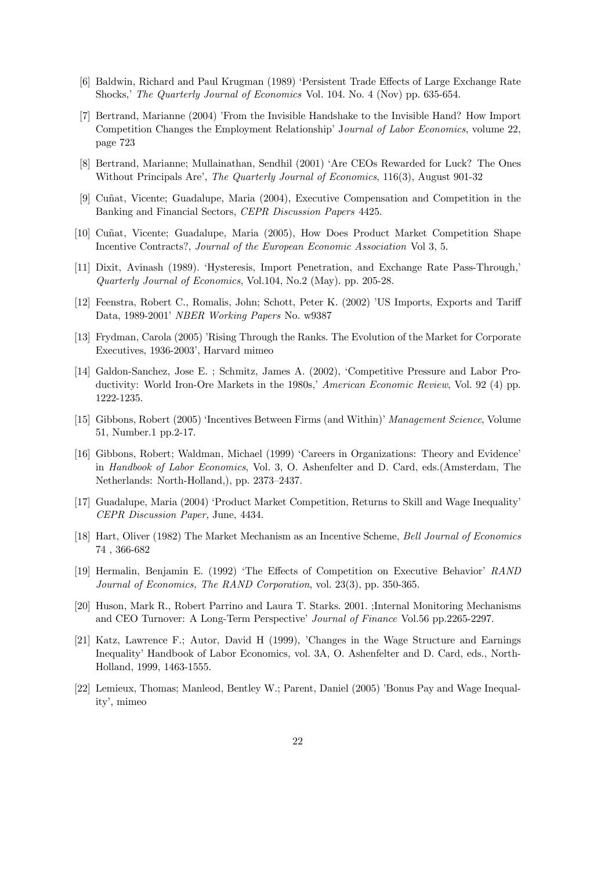- [6] Baldwin, Richard and Paul Krugman (1989) 'Persistent Trade Effects of Large Exchange Rate Shocks,' The Quarterly Journal of Economics Vol. 104. No. 4 (Nov) pp. 635-654.
- [7] Bertrand, Marianne (2004) 'From the Invisible Handshake to the Invisible Hand? How Import Competition Changes the Employment Relationship' Journal of Labor Economics, volume 22, page 723
- [8] Bertrand, Marianne; Mullainathan, Sendhil (2001) 'Are CEOs Rewarded for Luck? The Ones Without Principals Are', The Quarterly Journal of Economics, 116(3), August 901-32
- [9] Cuñat, Vicente; Guadalupe, Maria (2004), Executive Compensation and Competition in the Banking and Financial Sectors, CEPR Discussion Papers 4425.
- [10] Cuñat, Vicente; Guadalupe, Maria (2005), How Does Product Market Competition Shape Incentive Contracts?, Journal of the European Economic Association Vol 3, 5.
- [11] Dixit, Avinash (1989). 'Hysteresis, Import Penetration, and Exchange Rate Pass-Through,' Quarterly Journal of Economics, Vol.104, No.2 (May). pp. 205-28.
- [12] Feenstra, Robert C., Romalis, John; Schott, Peter K. (2002) 'US Imports, Exports and Tariff Data, 1989-2001' NBER Working Papers No. w9387
- [13] Frydman, Carola (2005) 'Rising Through the Ranks. The Evolution of the Market for Corporate Executives, 1936-2003', Harvard mimeo
- [14] Galdon-Sanchez, Jose E. ; Schmitz, James A. (2002), 'Competitive Pressure and Labor Productivity: World Iron-Ore Markets in the 1980s,' American Economic Review, Vol. 92 (4) pp. 1222-1235.
- [15] Gibbons, Robert (2005) 'Incentives Between Firms (and Within)' Management Science, Volume 51, Number.1 pp.2-17.
- [16] Gibbons, Robert; Waldman, Michael (1999) 'Careers in Organizations: Theory and Evidence' in Handbook of Labor Economics, Vol. 3, O. Ashenfelter and D. Card, eds.(Amsterdam, The Netherlands: North-Holland,), pp. 2373—2437.
- [17] Guadalupe, Maria (2004) 'Product Market Competition, Returns to Skill and Wage Inequality' CEPR Discussion Paper, June, 4434.
- [18] Hart, Oliver (1982) The Market Mechanism as an Incentive Scheme, Bell Journal of Economics 74 , 366-682
- [19] Hermalin, Benjamin E. (1992) 'The Effects of Competition on Executive Behavior' RAND Journal of Economics, The RAND Corporation, vol. 23(3), pp. 350-365.
- [20] Huson, Mark R., Robert Parrino and Laura T. Starks. 2001. ;Internal Monitoring Mechanisms and CEO Turnover: A Long-Term Perspective' Journal of Finance Vol.56 pp.2265-2297.
- [21] Katz, Lawrence F.; Autor, David H (1999), 'Changes in the Wage Structure and Earnings Inequality' Handbook of Labor Economics, vol. 3A, O. Ashenfelter and D. Card, eds., North-Holland, 1999, 1463-1555.
- [22] Lemieux, Thomas; Manleod, Bentley W.; Parent, Daniel (2005) 'Bonus Pay and Wage Inequality', mimeo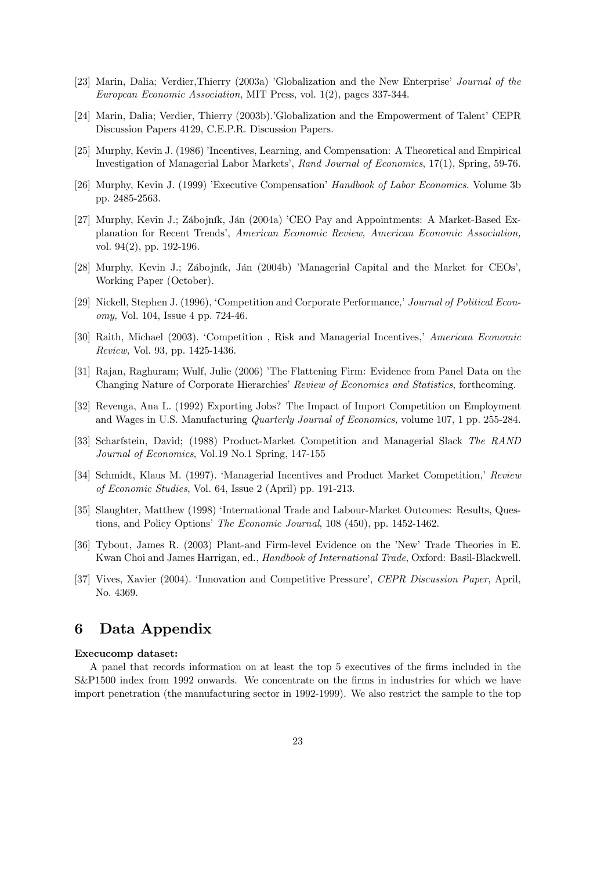- [23] Marin, Dalia; Verdier,Thierry (2003a) 'Globalization and the New Enterprise' Journal of the European Economic Association, MIT Press, vol. 1(2), pages 337-344.
- [24] Marin, Dalia; Verdier, Thierry (2003b).'Globalization and the Empowerment of Talent' CEPR Discussion Papers 4129, C.E.P.R. Discussion Papers.
- [25] Murphy, Kevin J. (1986) 'Incentives, Learning, and Compensation: A Theoretical and Empirical Investigation of Managerial Labor Markets', Rand Journal of Economics, 17(1), Spring, 59-76.
- [26] Murphy, Kevin J. (1999) 'Executive Compensation' Handbook of Labor Economics. Volume 3b pp. 2485-2563.
- [27] Murphy, Kevin J.; Zábojník, Ján (2004a) 'CEO Pay and Appointments: A Market-Based Explanation for Recent Trends', American Economic Review, American Economic Association, vol. 94(2), pp. 192-196.
- [28] Murphy, Kevin J.; Zábojník, Ján (2004b) 'Managerial Capital and the Market for CEOs', Working Paper (October).
- [29] Nickell, Stephen J. (1996), 'Competition and Corporate Performance,' Journal of Political Economy, Vol. 104, Issue 4 pp. 724-46.
- [30] Raith, Michael (2003). 'Competition , Risk and Managerial Incentives,' American Economic Review, Vol. 93, pp. 1425-1436.
- [31] Rajan, Raghuram; Wulf, Julie (2006) 'The Flattening Firm: Evidence from Panel Data on the Changing Nature of Corporate Hierarchies' Review of Economics and Statistics, forthcoming.
- [32] Revenga, Ana L. (1992) Exporting Jobs? The Impact of Import Competition on Employment and Wages in U.S. Manufacturing Quarterly Journal of Economics, volume 107, 1 pp. 255-284.
- [33] Scharfstein, David; (1988) Product-Market Competition and Managerial Slack The RAND Journal of Economics, Vol.19 No.1 Spring, 147-155
- [34] Schmidt, Klaus M. (1997). 'Managerial Incentives and Product Market Competition,' Review of Economic Studies, Vol. 64, Issue 2 (April) pp. 191-213.
- [35] Slaughter, Matthew (1998) 'International Trade and Labour-Market Outcomes: Results, Questions, and Policy Options' The Economic Journal, 108 (450), pp. 1452-1462.
- [36] Tybout, James R. (2003) Plant-and Firm-level Evidence on the 'New' Trade Theories in E. Kwan Choi and James Harrigan, ed., Handbook of International Trade, Oxford: Basil-Blackwell.
- [37] Vives, Xavier (2004). 'Innovation and Competitive Pressure', CEPR Discussion Paper, April, No. 4369.

### 6 Data Appendix

#### Execucomp dataset:

A panel that records information on at least the top 5 executives of the firms included in the S&P1500 index from 1992 onwards. We concentrate on the firms in industries for which we have import penetration (the manufacturing sector in 1992-1999). We also restrict the sample to the top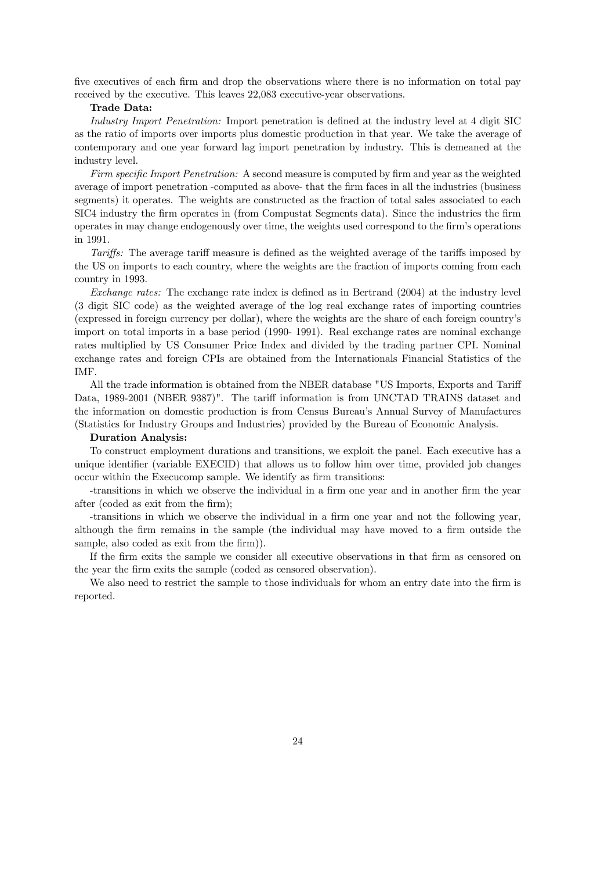five executives of each firm and drop the observations where there is no information on total pay received by the executive. This leaves 22,083 executive-year observations.

#### Trade Data:

Industry Import Penetration: Import penetration is defined at the industry level at 4 digit SIC as the ratio of imports over imports plus domestic production in that year. We take the average of contemporary and one year forward lag import penetration by industry. This is demeaned at the industry level.

Firm specific Import Penetration: A second measure is computed by firm and year as the weighted average of import penetration -computed as above- that the firm faces in all the industries (business segments) it operates. The weights are constructed as the fraction of total sales associated to each SIC4 industry the firm operates in (from Compustat Segments data). Since the industries the firm operates in may change endogenously over time, the weights used correspond to the firm's operations in 1991.

Tariffs: The average tariff measure is defined as the weighted average of the tariffs imposed by the US on imports to each country, where the weights are the fraction of imports coming from each country in 1993.

Exchange rates: The exchange rate index is defined as in Bertrand (2004) at the industry level (3 digit SIC code) as the weighted average of the log real exchange rates of importing countries (expressed in foreign currency per dollar), where the weights are the share of each foreign country's import on total imports in a base period (1990- 1991). Real exchange rates are nominal exchange rates multiplied by US Consumer Price Index and divided by the trading partner CPI. Nominal exchange rates and foreign CPIs are obtained from the Internationals Financial Statistics of the IMF.

All the trade information is obtained from the NBER database "US Imports, Exports and Tariff Data, 1989-2001 (NBER 9387)". The tariff information is from UNCTAD TRAINS dataset and the information on domestic production is from Census Bureau's Annual Survey of Manufactures (Statistics for Industry Groups and Industries) provided by the Bureau of Economic Analysis.

#### Duration Analysis:

To construct employment durations and transitions, we exploit the panel. Each executive has a unique identifier (variable EXECID) that allows us to follow him over time, provided job changes occur within the Execucomp sample. We identify as firm transitions:

-transitions in which we observe the individual in a firm one year and in another firm the year after (coded as exit from the firm);

-transitions in which we observe the individual in a firm one year and not the following year, although the firm remains in the sample (the individual may have moved to a firm outside the sample, also coded as exit from the firm).

If the firm exits the sample we consider all executive observations in that firm as censored on the year the firm exits the sample (coded as censored observation).

We also need to restrict the sample to those individuals for whom an entry date into the firm is reported.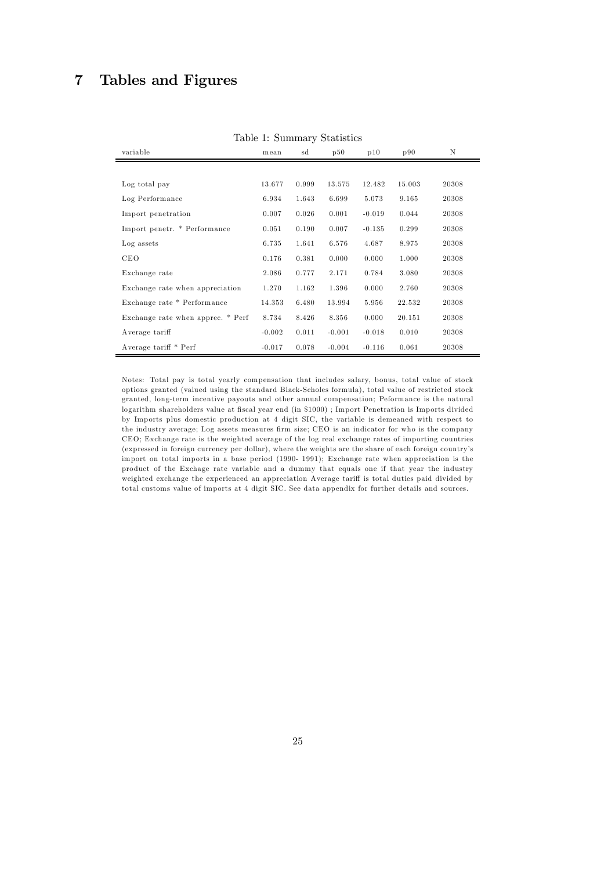## 7 Tables and Figures

| variable                          | mean     | sd    | таріс т. ранніцагу реаспексе<br>p50 | p10      | p90    | N     |
|-----------------------------------|----------|-------|-------------------------------------|----------|--------|-------|
|                                   |          |       |                                     |          |        |       |
| Log total pay                     | 13.677   | 0.999 | 13.575                              | 12.482   | 15.003 | 20308 |
| Log Performance                   | 6.934    | 1.643 | 6.699                               | 5.073    | 9.165  | 20308 |
| Import penetration                | 0.007    | 0.026 | 0.001                               | $-0.019$ | 0.044  | 20308 |
| Import penetr. * Performance      | 0.051    | 0.190 | 0.007                               | $-0.135$ | 0.299  | 20308 |
| Log assets                        | 6.735    | 1.641 | 6.576                               | 4.687    | 8.975  | 20308 |
| <b>CEO</b>                        | 0.176    | 0.381 | 0.000                               | 0.000    | 1.000  | 20308 |
| Exchange rate                     | 2.086    | 0.777 | 2.171                               | 0.784    | 3.080  | 20308 |
| Exchange rate when appreciation   | 1.270    | 1.162 | 1.396                               | 0.000    | 2.760  | 20308 |
| Exchange rate * Performance       | 14.353   | 6.480 | 13.994                              | 5.956    | 22.532 | 20308 |
| Exchange rate when apprec. * Perf | 8.734    | 8.426 | 8.356                               | 0.000    | 20.151 | 20308 |
| Average tariff                    | $-0.002$ | 0.011 | $-0.001$                            | $-0.018$ | 0.010  | 20308 |
| Average tariff * Perf             | $-0.017$ | 0.078 | $-0.004$                            | $-0.116$ | 0.061  | 20308 |

Table 1: Summary Statistics

Notes: Total pay is total yearly compensation that includes salary, bonus, total value of stock options granted (valued using the standard Black-Scholes formula), total value of restricted stock granted, long-term incentive payouts and other annual compensation; Peformance is the natural logarithm shareholders value at fiscal year end (in \$1000) ; Import Penetration is Imports divided by Imp orts plus domestic production at 4 digit SIC, the variable is demeaned with respect to the industry average; Log assets measures firm size; CEO is an indicator for who is the company CEO; Exchange rate is the weighted average of the log real exchange rates of importing countries (expressed in foreign currency per dollar), where the weights are the share of each foreign country's import on total imports in a base period (1990- 1991); Exchange rate when appreciation is the product of the Exchage rate variable and a dummy that equals one if that year the industry weighted exchange the experienced an appreciation Average tariff is total duties paid divided by total custom s value of imports at 4 digit SIC. See data appendix for further details and sources.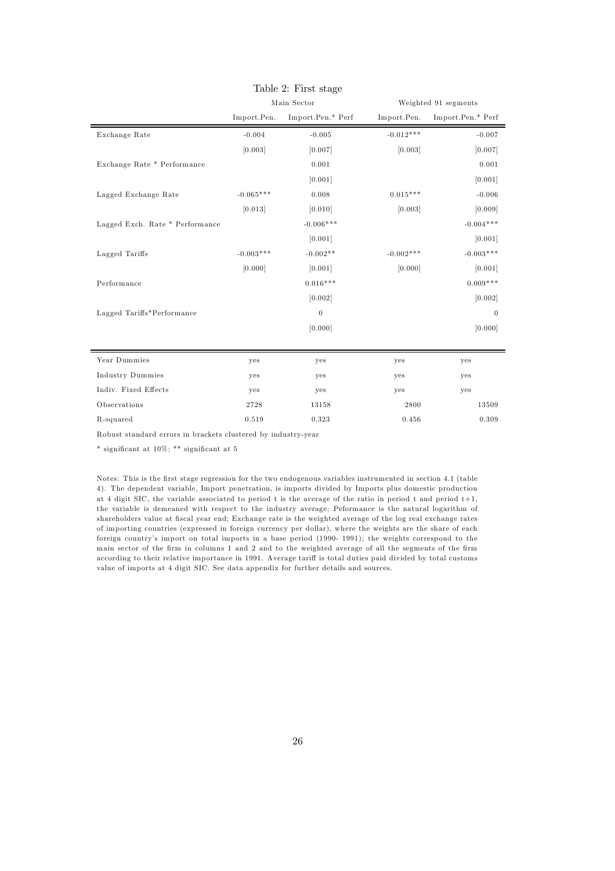|                                 | Main Sector |                   |             | Weighted 91 segments |
|---------------------------------|-------------|-------------------|-------------|----------------------|
|                                 | Import.Pen. | Import.Pen.* Perf | Import.Pen. | Import.Pen.* Perf    |
| Exchange Rate                   | $-0.004$    | $-0.005$          | $-0.012***$ | $-0.007$             |
|                                 | [0.003]     | [0.007]           | [0.003]     | [0.007]              |
| Exchange Rate * Performance     |             | 0.001             |             | 0.001                |
|                                 |             | [0.001]           |             | [0.001]              |
| Lagged Exchange Rate            | $-0.065***$ | 0.008             | $0.015***$  | $-0.006$             |
|                                 | [0.013]     | [0.010]           | [0.003]     | [0.009]              |
| Lagged Exch. Rate * Performance |             | $-0.006***$       |             | $-0.004***$          |
|                                 |             | [0.001]           |             | [0.001]              |
| Lagged Tariffs                  | $-0.003***$ | $-0.002**$        | $-0.002***$ | $-0.003***$          |
|                                 | [0.000]     | [0.001]           | [0.000]     | [0.001]              |
| Performance                     |             | $0.016***$        |             | $0.009***$           |
|                                 |             | [0.002]           |             | [0.002]              |
| Lagged Tariffs*Performance      |             | $\boldsymbol{0}$  |             | $\theta$             |
|                                 |             | [0.000]           |             | [0.000]              |
|                                 |             |                   |             |                      |
| Year Dummies                    | yes         | yes               | yes         | yes                  |
| <b>Industry Dummies</b>         | yes         | yes               | yes         | yes                  |
| Indiv. Fixed Effects            | yes         | yes               | yes         | yes                  |
| Observations                    | 2728        | 13158             | 2800        | 13509                |
| R-squared                       | 0.519       | 0.323             | 0.456       | 0.309                |

### Table 2: First stage

Robust standard errors in brackets clustered by industry-year

\* significant at 10%; \*\* significant at 5

Notes: This is the first stage regression for the two endogenous variables instrumented in section 4.1 (table 4). The dependent variable, Import penetration, is imports divided by Imports plus domestic production at 4 digit SIC, the variable associated to period t is the average of the ratio in period t and period t+1, the variable is demeaned with respect to the industry average; Peformance is the natural logarithm of shareholders value at fiscal year end; Exchange rate is the weighted average of the log real exchange rates of importing countries (expressed in foreign currency per dollar), where the weights are the share of each foreign country's imp ort on total imports in a base period (1990- 1991); the weights correspond to the main sector of the firm in columns 1 and 2 and to the weighted average of all the segments of the firm according to their relative importance in 1991. Average tariff is total duties paid divided by total customs value of imp orts at 4 digit SIC. See data appendix for further details and sources.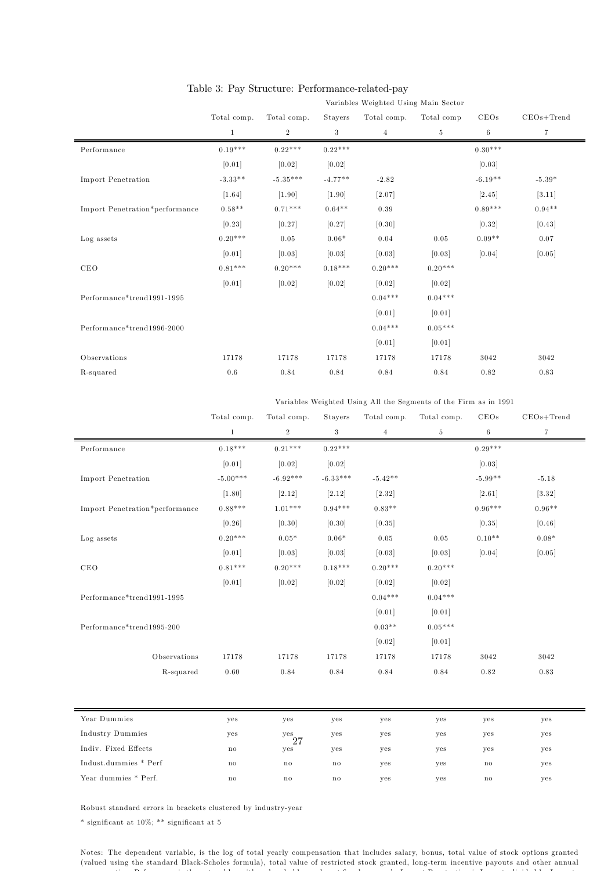|                                | Variables Weighted Using Main Sector |                |           |                |            |           |              |  |  |
|--------------------------------|--------------------------------------|----------------|-----------|----------------|------------|-----------|--------------|--|--|
|                                | Total comp.                          | Total comp.    | Stayers   | Total comp.    | Total comp | CEOs      | $CEOs+Trend$ |  |  |
|                                | $\mathbf{1}$                         | $\overline{2}$ | 3         | $\overline{4}$ | $\,$ 5     | $\,6$     | 7            |  |  |
| Performance                    | $0.19***$                            | $0.22***$      | $0.22***$ |                |            | $0.30***$ |              |  |  |
|                                | [0.01]                               | [0.02]         | [0.02]    |                |            | [0.03]    |              |  |  |
| <b>Import Penetration</b>      | $-3.33**$                            | $-5.35***$     | $-4.77**$ | $-2.82$        |            | $-6.19**$ | $-5.39*$     |  |  |
|                                | $[1.64]$                             | [1.90]         | [1.90]    | [2.07]         |            | [2.45]    | [3.11]       |  |  |
| Import Penetration*performance | $0.58**$                             | $0.71***$      | $0.64**$  | 0.39           |            | $0.89***$ | $0.94**$     |  |  |
|                                | [0.23]                               | [0.27]         | [0.27]    | [0.30]         |            | [0.32]    | [0.43]       |  |  |
| Log assets                     | $0.20***$                            | 0.05           | $0.06*$   | 0.04           | 0.05       | $0.09**$  | 0.07         |  |  |
|                                | [0.01]                               | [0.03]         | [0.03]    | [0.03]         | [0.03]     | [0.04]    | [0.05]       |  |  |
| CEO                            | $0.81***$                            | $0.20***$      | $0.18***$ | $0.20***$      | $0.20***$  |           |              |  |  |
|                                | [0.01]                               | [0.02]         | $[0.02]$  | [0.02]         | [0.02]     |           |              |  |  |
| Performance*trend1991-1995     |                                      |                |           | $0.04***$      | $0.04***$  |           |              |  |  |
|                                |                                      |                |           | [0.01]         | [0.01]     |           |              |  |  |
| Performance*trend1996-2000     |                                      |                |           | $0.04***$      | $0.05***$  |           |              |  |  |
|                                |                                      |                |           | [0.01]         | [0.01]     |           |              |  |  |
| Observations                   | 17178                                | 17178          | 17178     | 17178          | 17178      | 3042      | 3042         |  |  |
| R-squared                      | 0.6                                  | 0.84           | 0.84      | 0.84           | 0.84       | 0.82      | 0.83         |  |  |
|                                |                                      |                |           |                |            |           |              |  |  |

### Table 3: Pay Structure: Performance-related-pay

Variables Weighted Using All the Segments of the Firm as in 1991

|                                | Total comp.    | Total comp.    | Stayers    | Total comp. | Total comp.    | CEOs                   | $CEOs+Trend$ |
|--------------------------------|----------------|----------------|------------|-------------|----------------|------------------------|--------------|
|                                | $\mathbf{1}$   | $\overline{2}$ | 3          | $\,4$       | $\overline{5}$ | $\,6$                  | $\,7$        |
| Performance                    | $0.18***$      | $0.21***$      | $0.22***$  |             |                | $0.29***$              |              |
|                                | [0.01]         | [0.02]         | [0.02]     |             |                | [0.03]                 |              |
| <b>Import Penetration</b>      | $-5.00***$     | $-6.92***$     | $-6.33***$ | $-5.42**$   |                | $-5.99**$              | $-5.18$      |
|                                | [1.80]         | [2.12]         | [2.12]     | $[2.32]$    |                | $[2.61]$               | [3.32]       |
| Import Penetration*performance | $0.88***$      | $1.01***$      | $0.94***$  | $0.83**$    |                | $0.96***$              | $0.96**$     |
|                                | [0.26]         | [0.30]         | [0.30]     | [0.35]      |                | [0.35]                 | [0.46]       |
| Log assets                     | $0.20***$      | $0.05*$        | $0.06*$    | 0.05        | 0.05           | $0.10**$               | $0.08*$      |
|                                | [0.01]         | [0.03]         | [0.03]     | [0.03]      | [0.03]         | [0.04]                 | [0.05]       |
| CEO                            | $0.81***$      | $0.20***$      | $0.18***$  | $0.20***$   | $0.20***$      |                        |              |
|                                | [0.01]         | [0.02]         | [0.02]     | [0.02]      | [0.02]         |                        |              |
| Performance*trend1991-1995     |                |                |            | $0.04***$   | $0.04***$      |                        |              |
|                                |                |                |            | [0.01]      | [0.01]         |                        |              |
| Performance*trend1995-200      |                |                |            | $0.03**$    | $0.05***$      |                        |              |
|                                |                |                |            | [0.02]      | [0.01]         |                        |              |
| Observations                   | 17178          | 17178          | 17178      | 17178       | 17178          | 3042                   | 3042         |
| R-squared                      | 0.60           | 0.84           | 0.84       | 0.84        | 0.84           | 0.82                   | 0.83         |
|                                |                |                |            |             |                |                        |              |
| Year Dummies                   | yes            | yes            | yes        | yes         | yes            | yes                    | yes          |
| <b>Industry Dummies</b>        | yes            | yes<br>27      | yes        | yes         | yes            | yes                    | yes          |
| Indiv. Fixed Effects           | $\rm{no}$      | yes            | yes        | yes         | yes            | yes                    | yes          |
| Indust.dummies * Perf          | $\mathbf{no}$  | $\rm{no}$      | $\rm{no}$  | yes         | yes            | $\mathbf{n}\mathbf{o}$ | yes          |
| Year dummies * Perf.           | $\mathbf{n}$ o | $\rm{no}$      | $\rm{no}$  | yes         | yes            | $\mathbf{no}$          | yes          |

Robust standard errors in brackets clustered by industry-year

\* significant at 10%; \*\* significant at 5

Notes: The dependent variable, is the log of total yearly compensation that includes salary, bonus, total value of stock options granted (valued using the standard Black-Scholes formula), total value of restricted stock granted, long-term incentive payouts and other annual compensation; Peformance is the natural logarithm shareholders value at fiscal year end ; Import Penetration is Imports divided by Imports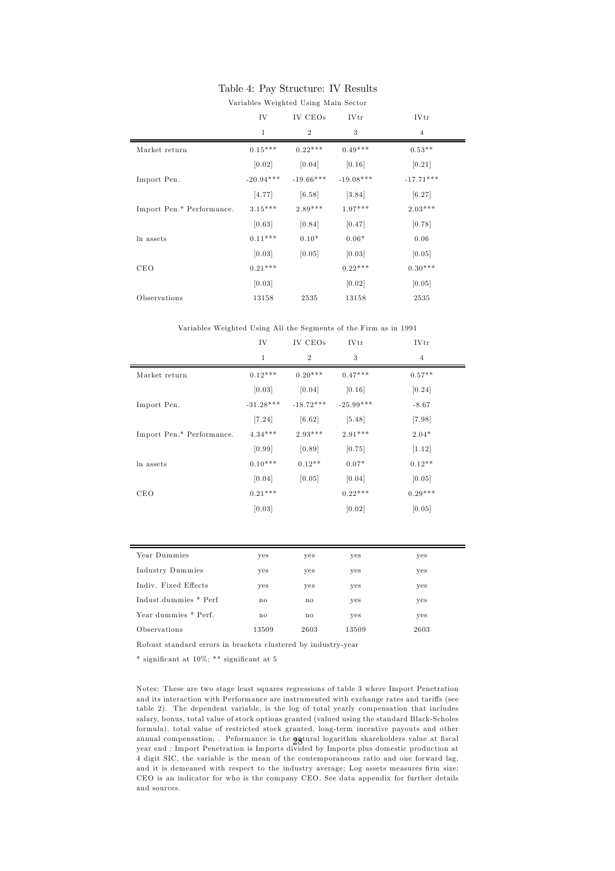### Table 4: Pay Structure: IV Results

|                           | Variables Weighted Using Main Sector |                |             |                |  |  |  |
|---------------------------|--------------------------------------|----------------|-------------|----------------|--|--|--|
|                           | IV                                   | IV CEOs        | <b>IVtr</b> | <b>IVtr</b>    |  |  |  |
|                           | 1                                    | $\overline{2}$ | 3           | $\overline{4}$ |  |  |  |
| Market return             | $0.15***$                            | $0.22***$      | $0.49***$   | $0.53**$       |  |  |  |
|                           | [0.02]                               | [0.04]         | [0.16]      | [0.21]         |  |  |  |
| Import Pen.               | $-20.94***$                          | $-19.66***$    | $-19.08***$ | $-17.71***$    |  |  |  |
|                           | [4.77]                               | [6.58]         | $[3.84]$    | [6.27]         |  |  |  |
| Import Pen.* Performance. | $3.15***$                            | $2.89***$      | $1.97***$   | $2.03***$      |  |  |  |
|                           | [0.63]                               | [0.84]         | [0.47]      | [0.78]         |  |  |  |
| ln assets                 | $0.11***$                            | $0.10*$        | $0.06*$     | 0.06           |  |  |  |
|                           | [0.03]                               | [0.05]         | [0.03]      | [0.05]         |  |  |  |
| <b>CEO</b>                | $0.21***$                            |                | $0.22***$   | $0.30***$      |  |  |  |
|                           | [0.03]                               |                | [0.02]      | [0.05]         |  |  |  |
| Observations              | 13158                                | 2535           | 13158       | 2535           |  |  |  |

#### Variables Weighted Using All the Segments of the Firm as in 1991

| IV           | IV CEOs        | <b>IVtr</b> | <b>IVtr</b>    |
|--------------|----------------|-------------|----------------|
| $\mathbf{1}$ | $\overline{2}$ | 3           | $\overline{4}$ |
| $0.12***$    | $0.20***$      | $0.47***$   | $0.57**$       |
| [0.03]       | [0.04]         | [0.16]      | [0.24]         |
| $-31.28***$  | $-18.72***$    | $-25.99***$ | $-8.67$        |
| [7.24]       | [6.62]         | $[5.48]$    | [7.98]         |
| $4.34***$    | $2.93***$      | $2.91***$   | $2.04*$        |
| [0.99]       | [0.89]         | [0.75]      | [1.12]         |
| $0.10***$    | $0.12**$       | $0.07*$     | $0.12**$       |
| [0.04]       | [0.05]         | [0.04]      | [0.05]         |
| $0.21***$    |                | $0.22***$   | $0.29***$      |
| [0.03]       |                | [0.02]      | [0.05]         |
|              |                |             |                |

| Year Dummies          | yes          | yes  | yes   | yes  |
|-----------------------|--------------|------|-------|------|
| Industry Dummies      | yes          | yes  | yes   | yes  |
| Indiv. Fixed Effects  | yes          | yes  | yes   | yes  |
| Indust.dummies * Perf | $\mathbf{n}$ | no   | yes   | yes  |
| Year dummies * Perf.  | $\mathbf{n}$ | no   | yes   | yes  |
| Observations          | 13509        | 2603 | 13509 | 2603 |
|                       |              |      |       |      |

Robust standard errors in brackets clustered by industry-year

\* significant at 10%; \*\* significant at 5

Notes: These are two stage least squares regressions of table 3 where Import Penetration and its interaction with Performance are instrumented with exchange rates and tariffs (see table 2). The dependent variable, is the log of total yearly compensation that includes salary, bonus, total value of stock options granted (valued using the standard Black-Scholes formula), total value of restricted stock granted, long-term incentive payouts and other annual compensation; . Peformance is the **actural logarithm shareholders value at fiscal** year end ; Import Penetration is Imports divided by Imports plus domestic production at 4 digit SIC, the variable is the mean of the contemporaneous ratio and one forward lag, and it is demeaned with respect to the industry average; Log assets measures firm size; CEO is an indicator for who is the company CEO. See data appendix for further details and sources.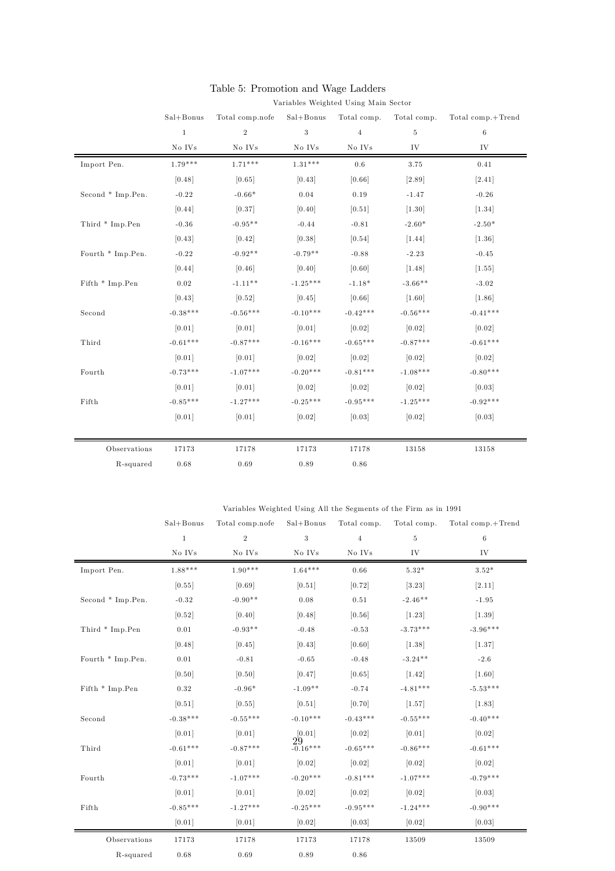|                   | Variables Weighted Using Main Sector |                 |               |                |                |                   |  |  |
|-------------------|--------------------------------------|-----------------|---------------|----------------|----------------|-------------------|--|--|
|                   | $Sal + Bonus$                        | Total comp.nofe | $Sal+Bonus$   | Total comp.    | Total comp.    | Total comp.+Trend |  |  |
|                   | $\mathbf{1}$                         | $\overline{2}$  | $\sqrt{3}$    | $\overline{4}$ | $\overline{5}$ | $\,6$             |  |  |
|                   | $\rm No\ IVs$                        | No IVs          | $\rm No\ IVs$ | $\rm No\ IVs$  | IV             | IV                |  |  |
| Import Pen.       | $1.79***$                            | $1.71***$       | $1.31***$     | 0.6            | 3.75           | 0.41              |  |  |
|                   | [0.48]                               | [0.65]          | [0.43]        | [0.66]         | $[2.89]$       | [2.41]            |  |  |
| Second * Imp.Pen. | $-0.22$                              | $-0.66*$        | 0.04          | 0.19           | $-1.47$        | $-0.26$           |  |  |
|                   | [0.44]                               | [0.37]          | [0.40]        | [0.51]         | [1.30]         | [1.34]            |  |  |
| Third * Imp.Pen   | $-0.36$                              | $-0.95**$       | $-0.44$       | $-0.81$        | $-2.60*$       | $-2.50*$          |  |  |
|                   | [0.43]                               | [0.42]          | [0.38]        | [0.54]         | [1.44]         | [1.36]            |  |  |
| Fourth * Imp.Pen. | $-0.22$                              | $-0.92**$       | $-0.79**$     | $-0.88$        | $-2.23$        | $-0.45$           |  |  |
|                   | [0.44]                               | [0.46]          | $[0.40]$      | [0.60]         | [1.48]         | [1.55]            |  |  |
| Fifth * Imp.Pen   | 0.02                                 | $-1.11**$       | $-1.25***$    | $-1.18*$       | $-3.66**$      | $-3.02$           |  |  |
|                   | [0.43]                               | [0.52]          | [0.45]        | [0.66]         | [1.60]         | [1.86]            |  |  |
| Second            | $-0.38***$                           | $-0.56***$      | $-0.10***$    | $-0.42***$     | $-0.56***$     | $-0.41***$        |  |  |
|                   | [0.01]                               | [0.01]          | [0.01]        | [0.02]         | [0.02]         | [0.02]            |  |  |
| Third             | $-0.61***$                           | $-0.87***$      | $-0.16***$    | $-0.65***$     | $-0.87***$     | $-0.61***$        |  |  |
|                   | [0.01]                               | [0.01]          | [0.02]        | [0.02]         | [0.02]         | [0.02]            |  |  |
| Fourth            | $-0.73***$                           | $-1.07***$      | $-0.20***$    | $-0.81***$     | $-1.08***$     | $-0.80***$        |  |  |
|                   | [0.01]                               | [0.01]          | $[0.02]$      | [0.02]         | $[0.02]$       | [0.03]            |  |  |
| Fifth             | $-0.85***$                           | $-1.27***$      | $-0.25***$    | $-0.95***$     | $-1.25***$     | $-0.92***$        |  |  |
|                   | [0.01]                               | [0.01]          | $[0.02]$      | [0.03]         | $[0.02]$       | [0.03]            |  |  |
|                   |                                      |                 |               |                |                |                   |  |  |
| Observations      | 17173                                | 17178           | 17173         | 17178          | 13158          | 13158             |  |  |
| R-squared         | 0.68                                 | 0.69            | 0.89          | 0.86           |                |                   |  |  |

# Table 5: Promotion and Wage Ladders

Variables Weighted Using All the Segments of the Firm as in 1991

|                   | $Sal + Bonus$ | Total comp.nofe | Sal+Bonus           |                | Total comp. Total comp. | Total comp.+Trend |
|-------------------|---------------|-----------------|---------------------|----------------|-------------------------|-------------------|
|                   | $\mathbf{1}$  | $\mathbf{2}$    | $\sqrt{3}$          | $\overline{4}$ | $\,$ 5                  | $\,6\,$           |
|                   | No IVs        | No IVs          | No IVs              | No IVs         | IV                      | IV                |
| Import Pen.       | $1.88***$     | $1.90***$       | $1.64***$           | 0.66           | $5.32*$                 | $3.52*$           |
|                   | [0.55]        | [0.69]          | [0.51]              | [0.72]         | [3.23]                  | [2.11]            |
| Second * Imp.Pen. | $-0.32$       | $-0.90**$       | 0.08                | 0.51           | $-2.46**$               | $-1.95$           |
|                   | [0.52]        | [0.40]          | [0.48]              | [0.56]         | [1.23]                  | [1.39]            |
| Third * Imp.Pen   | $0.01\,$      | $-0.93**$       | $-0.48$             | $-0.53$        | $-3.73***$              | $-3.96***$        |
|                   | [0.48]        | [0.45]          | [0.43]              | [0.60]         | [1.38]                  | [1.37]            |
| Fourth * Imp.Pen. | 0.01          | $-0.81$         | $-0.65$             | $-0.48$        | $-3.24**$               | $-2.6$            |
|                   | [0.50]        | [0.50]          | [0.47]              | [0.65]         | $[1.42]$                | [1.60]            |
| Fifth * Imp.Pen   | 0.32          | $-0.96*$        | $-1.09**$           | $-0.74$        | $-4.81***$              | $-5.53***$        |
|                   | [0.51]        | [0.55]          | [0.51]              | [0.70]         | [1.57]                  | [1.83]            |
| Second            | $-0.38***$    | $-0.55***$      | $-0.10***$          | $-0.43***$     | $-0.55***$              | $-0.40***$        |
|                   | [0.01]        | [0.01]          | [0.01]              | [0.02]         | [0.01]                  | [0.02]            |
| Third             | $-0.61***$    | $-0.87***$      | $29 \atop -0.16***$ | $-0.65***$     | $-0.86***$              | $-0.61***$        |
|                   | [0.01]        | [0.01]          | [0.02]              | [0.02]         | [0.02]                  | [0.02]            |
| Fourth            | $-0.73***$    | $-1.07***$      | $-0.20***$          | $-0.81***$     | $-1.07***$              | $-0.79***$        |
|                   | [0.01]        | [0.01]          | $[0.02]$            | [0.02]         | $[0.02]$                | [0.03]            |
| Fifth             | $-0.85***$    | $-1.27***$      | $-0.25***$          | $-0.95***$     | $-1.24***$              | $-0.90***$        |
|                   | [0.01]        | [0.01]          | [0.02]              | [0.03]         | [0.02]                  | [0.03]            |
| Observations      | 17173         | 17178           | 17173               | 17178          | 13509                   | 13509             |
| R-squared         | 0.68          | 0.69            | 0.89                | 0.86           |                         |                   |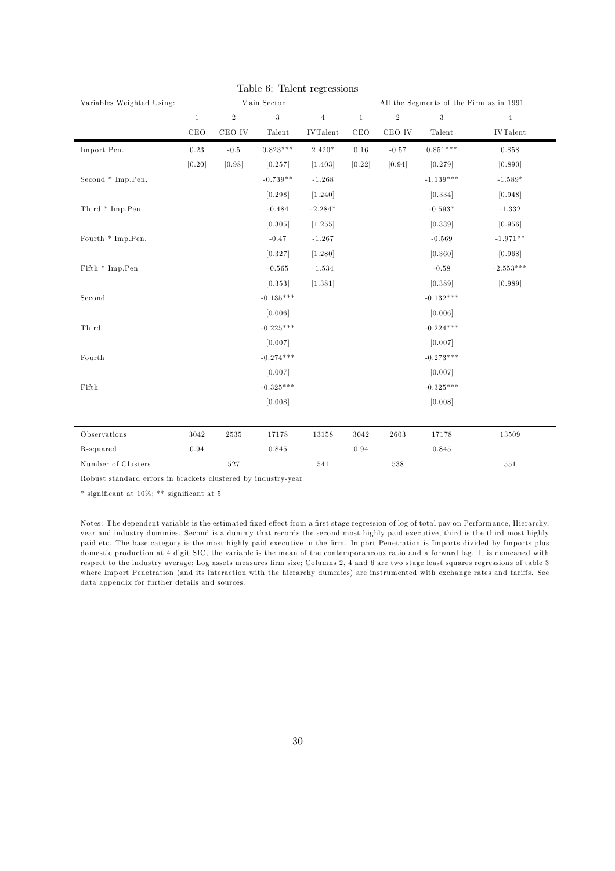| Variables Weighted Using: | Main Sector  |                  |             |                 | All the Segments of the Firm as in 1991 |               |                  |                 |
|---------------------------|--------------|------------------|-------------|-----------------|-----------------------------------------|---------------|------------------|-----------------|
|                           | $\mathbf{1}$ | $\,2$            | 3           | $\overline{4}$  | $\mathbf{1}$                            | $\,2$         | $\boldsymbol{3}$ | $\overline{4}$  |
|                           | CEO          | $_{\rm CEO\ IV}$ | Talent      | <b>IVTalent</b> | CEO                                     | $\rm CEO\ IV$ | Talent           | <b>IVTalent</b> |
| Import Pen.               | 0.23         | $-0.5$           | $0.823***$  | $2.420*$        | $0.16\,$                                | $-0.57$       | $0.851***$       | 0.858           |
|                           | [0.20]       | [0.98]           | [0.257]     | [1.403]         | $[0.22]$                                | [0.94]        | [0.279]          | [0.890]         |
| Second * Imp.Pen.         |              |                  | $-0.739**$  | $-1.268$        |                                         |               | $-1.139***$      | $-1.589*$       |
|                           |              |                  | [0.298]     | [1.240]         |                                         |               | [0.334]          | [0.948]         |
| Third * Imp.Pen           |              |                  | $-0.484$    | $-2.284*$       |                                         |               | $-0.593*$        | $-1.332$        |
|                           |              |                  | [0.305]     | [1.255]         |                                         |               | [0.339]          | [0.956]         |
| Fourth * Imp.Pen.         |              |                  | $-0.47$     | $-1.267$        |                                         |               | $-0.569$         | $-1.971**$      |
|                           |              |                  | [0.327]     | [1.280]         |                                         |               | [0.360]          | [0.968]         |
| Fifth * Imp.Pen           |              |                  | $-0.565$    | $-1.534$        |                                         |               | $-0.58$          | $-2.553***$     |
|                           |              |                  | [0.353]     | [1.381]         |                                         |               | [0.389]          | [0.989]         |
| Second                    |              |                  | $-0.135***$ |                 |                                         |               | $-0.132***$      |                 |
|                           |              |                  | [0.006]     |                 |                                         |               | [0.006]          |                 |
| Third                     |              |                  | $-0.225***$ |                 |                                         |               | $-0.224***$      |                 |
|                           |              |                  | [0.007]     |                 |                                         |               | [0.007]          |                 |
| Fourth                    |              |                  | $-0.274***$ |                 |                                         |               | $-0.273***$      |                 |
|                           |              |                  | [0.007]     |                 |                                         |               | [0.007]          |                 |
| Fifth                     |              |                  | $-0.325***$ |                 |                                         |               | $-0.325***$      |                 |
|                           |              |                  | [0.008]     |                 |                                         |               | [0.008]          |                 |
| Observations              | 3042         | $2535\,$         | 17178       | 13158           | 3042                                    | 2603          | 17178            | 13509           |
| R-squared                 | 0.94         |                  | 0.845       |                 | 0.94                                    |               | 0.845            |                 |
| Number of Clusters        |              | 527              |             | 541             |                                         | 538           |                  | $551\,$         |

### Table 6: Talent regressions

Robust standard errors in brackets clustered by industry-year

\* significant at 10%; \*\* significant at 5

Notes: The dependent variable is the estimated fixed effect from a first stage regression of log of total pay on Performance, Hierarchy, year and industry dummies. Second is a dummy that records the second most highly paid executive, third is the third most highly paid etc. The base category is the most highly paid executive in the firm. Import Penetration is Imports divided by Imports plus domestic production at 4 digit SIC, the variable is the mean of the contemporaneous ratio and a forward lag. It is demeaned with respect to the industry average; Log assets measures firm size; Columns 2, 4 and 6 are two stage least squares regressions of table 3 where Import Penetration (and its interaction with the hierarchy dummies) are instrumented with exchange rates and tariffs. See data appendix for further details and sources.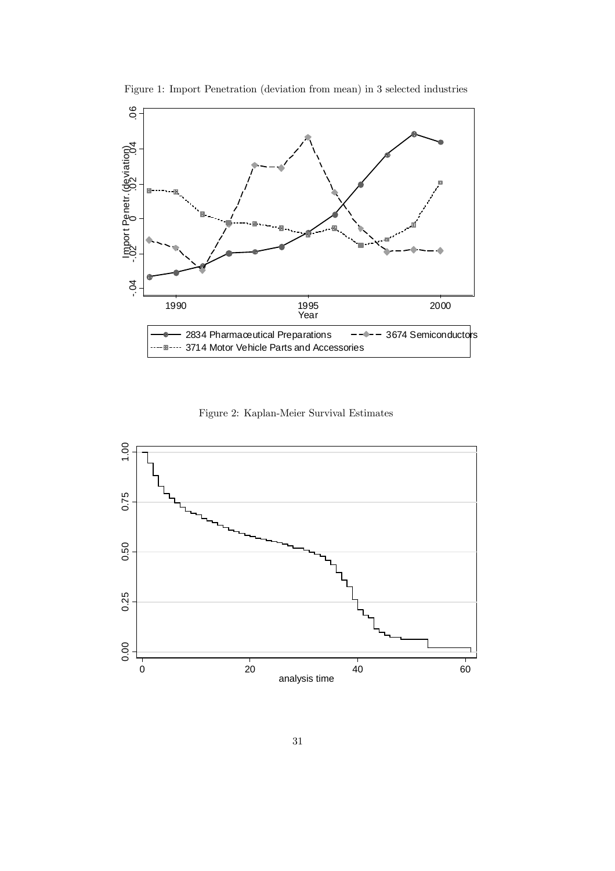

Figure 1: Import Penetration (deviation from mean) in 3 selected industries

Figure 2: Kaplan-Meier Survival Estimates